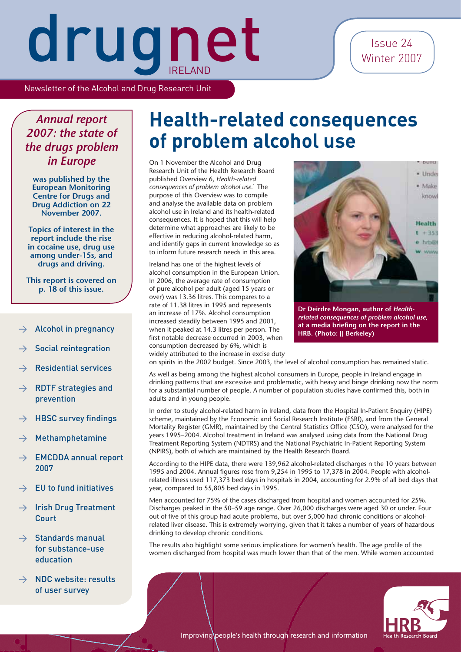Issue 24 Winter 2007

# drugnet

Newsletter of the Alcohol and Drug Research Unit

#### *Annual report 2007: the state of the drugs problem in Europe*

**was published by the European Monitoring Centre for Drugs and Drug Addiction on 22 November 2007.**

**Topics of interest in the report include the rise in cocaine use, drug use among under-15s, and drugs and driving.**

**This report is covered on p. 18 of this issue.**

- Alcohol in pregnancy
- $\rightarrow$  Social reintegration
- > Residential services
- $\rightarrow$  RDTF strategies and prevention
- $\rightarrow$  HBSC survey findings
- **Methamphetamine**
- $\rightarrow$  EMCDDA annual report 2007
- $\rightarrow$  EU to fund initiatives
- $\rightarrow$  Irish Drug Treatment **Court**
- $\rightarrow$  Standards manual for substance-use education
- $\rightarrow$  NDC website: results of user survey

### **Health-related consequences of problem alcohol use**

On 1 November the Alcohol and Drug Research Unit of the Health Research Board published Overview 6, *Health-related consequences of problem alcohol use*. 1 The purpose of this Overview was to compile and analyse the available data on problem alcohol use in Ireland and its health-related consequences. It is hoped that this will help determine what approaches are likely to be effective in reducing alcohol-related harm, and identify gaps in current knowledge so as to inform future research needs in this area.

Ireland has one of the highest levels of alcohol consumption in the European Union. In 2006, the average rate of consumption of pure alcohol per adult (aged 15 years or over) was 13.36 litres. This compares to a rate of 11.38 litres in 1995 and represents an increase of 17%. Alcohol consumption increased steadily between 1995 and 2001, when it peaked at 14.3 litres per person. The first notable decrease occurred in 2003, when consumption decreased by 6%, which is widely attributed to the increase in excise duty



at a media briefing on the report in the **HRB. (Photo: JJ Berkeley)**

on spirits in the 2002 budget. Since 2003, the level of alcohol consumption has remained static.

As well as being among the highest alcohol consumers in Europe, people in Ireland engage in drinking patterns that are excessive and problematic, with heavy and binge drinking now the norm for a substantial number of people. A number of population studies have confirmed this, both in adults and in young people.

In order to study alcohol-related harm in Ireland, data from the Hospital In-Patient Enquiry (HIPE) scheme, maintained by the Economic and Social Research Institute (ESRI), and from the General Mortality Register (GMR), maintained by the Central Statistics Office (CSO), were analysed for the years 1995–2004. Alcohol treatment in Ireland was analysed using data from the National Drug Treatment Reporting System (NDTRS) and the National Psychiatric In-Patient Reporting System (NPIRS), both of which are maintained by the Health Research Board.

According to the HIPE data, there were 139,962 alcohol-related discharges n the 10 years between 1995 and 2004. Annual figures rose from 9,254 in 1995 to 17,378 in 2004. People with alcoholrelated illness used 117,373 bed days in hospitals in 2004, accounting for 2.9% of all bed days that year, compared to 55,805 bed days in 1995.

Men accounted for 75% of the cases discharged from hospital and women accounted for 25%. Discharges peaked in the 50–59 age range. Over 26,000 discharges were aged 30 or under. Four out of five of this group had acute problems, but over 5,000 had chronic conditions or alcoholrelated liver disease. This is extremely worrying, given that it takes a number of years of hazardous drinking to develop chronic conditions.

The results also highlight some serious implications for women's health. The age profile of the women discharged from hospital was much lower than that of the men. While women accounted

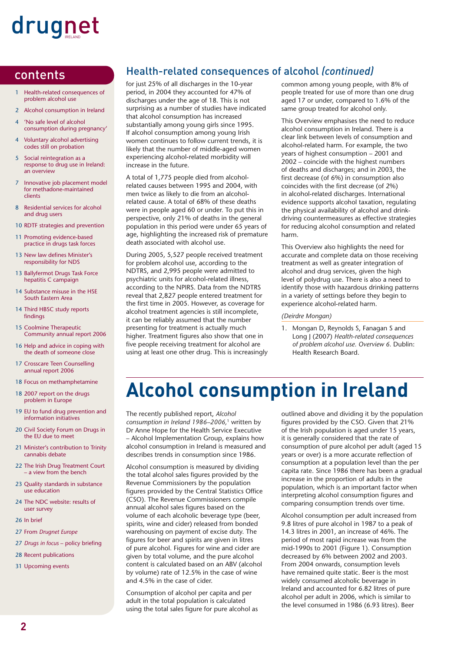- 1 Health-related consequences of problem alcohol use
- 2 Alcohol consumption in Ireland
- 4 'No safe level of alcohol consumption during pregnancy'
- 4 Voluntary alcohol advertising codes still on probation
- 5 Social reintegration as a response to drug use in Ireland: an overview
- 7 Innovative job placement model for methadone-maintained clients
- 8 Residential services for alcohol and drug users
- 10 RDTF strategies and prevention
- 11 Promoting evidence-based practice in drugs task forces
- 13 New law defines Minister's responsibility for NDS
- 13 Ballyfermot Drugs Task Force hepatitis C campaign
- 14 Substance misuse in the HSE South Eastern Area
- 14 Third HBSC study reports findings
- 15 Coolmine Therapeutic Community annual report 2006
- 16 Help and advice in coping with the death of someone close
- 17 Crosscare Teen Counselling annual report 2006
- 18 Focus on methamphetamine
- 18 2007 report on the drugs problem in Europe
- 19 EU to fund drug prevention and information initiatives
- 20 Civil Society Forum on Drugs in the EU due to meet
- 21 Minister's contribution to Trinity cannabis debate
- 22 The Irish Drug Treatment Court – a view from the bench
- 23 Quality standards in substance use education
- 24 The NDC website: results of user survey
- 26 In brief
- 27 From *Drugnet Europe*
- 27 *Drugs in focus* policy briefing
- 28 Recent publications
- 31 Upcoming events

#### contents **Exercice Products** Health-related consequences of alcohol *(continued)*

for just 25% of all discharges in the 10-year period, in 2004 they accounted for 47% of discharges under the age of 18. This is not surprising as a number of studies have indicated that alcohol consumption has increased substantially among young girls since 1995. If alcohol consumption among young Irish women continues to follow current trends, it is likely that the number of middle-aged women experiencing alcohol-related morbidity will increase in the future.

A total of 1,775 people died from alcoholrelated causes between 1995 and 2004, with men twice as likely to die from an alcoholrelated cause. A total of 68% of these deaths were in people aged 60 or under. To put this in perspective, only 21% of deaths in the general population in this period were under 65 years of age, highlighting the increased risk of premature death associated with alcohol use.

During 2005, 5,527 people received treatment for problem alcohol use, according to the NDTRS, and 2,995 people were admitted to psychiatric units for alcohol-related illness, according to the NPIRS. Data from the NDTRS reveal that 2,827 people entered treatment for the first time in 2005. However, as coverage for alcohol treatment agencies is still incomplete, it can be reliably assumed that the number presenting for treatment is actually much higher. Treatment figures also show that one in five people receiving treatment for alcohol are using at least one other drug. This is increasingly common among young people, with 8% of people treated for use of more than one drug aged 17 or under, compared to 1.6% of the same group treated for alcohol only.

This Overview emphasises the need to reduce alcohol consumption in Ireland. There is a clear link between levels of consumption and alcohol-related harm. For example, the two years of highest consumption – 2001 and 2002 – coincide with the highest numbers of deaths and discharges; and in 2003, the first decrease (of 6%) in consumption also coincides with the first decrease (of 2%) in alcohol-related discharges. International evidence supports alcohol taxation, regulating the physical availability of alcohol and drinkdriving countermeasures as effective strategies for reducing alcohol consumption and related harm.

This Overview also highlights the need for accurate and complete data on those receiving treatment as well as greater integration of alcohol and drug services, given the high level of polydrug use. There is also a need to identify those with hazardous drinking patterns in a variety of settings before they begin to experience alcohol-related harm.

#### *(Deirdre Mongan)*

1. Mongan D, Reynolds S, Fanagan S and Long J (2007) *Health-related consequences of problem alcohol use. Overview 6.* Dublin: Health Research Board.

### **Alcohol consumption in Ireland**

The recently published report, *Alcohol consumption in Ireland 1986–2006,*1 written by Dr Anne Hope for the Health Service Executive – Alcohol Implementation Group, explains how alcohol consumption in Ireland is measured and describes trends in consumption since 1986.

Alcohol consumption is measured by dividing the total alcohol sales figures provided by the Revenue Commissioners by the population figures provided by the Central Statistics Office (CSO). The Revenue Commissioners compile annual alcohol sales figures based on the volume of each alcoholic beverage type (beer, spirits, wine and cider) released from bonded warehousing on payment of excise duty. The figures for beer and spirits are given in litres of pure alcohol. Figures for wine and cider are given by total volume, and the pure alcohol content is calculated based on an ABV (alcohol by volume) rate of 12.5% in the case of wine and 4.5% in the case of cider.

Consumption of alcohol per capita and per adult in the total population is calculated using the total sales figure for pure alcohol as outlined above and dividing it by the population figures provided by the CSO. Given that 21% of the Irish population is aged under 15 years, it is generally considered that the rate of consumption of pure alcohol per adult (aged 15 years or over) is a more accurate reflection of consumption at a population level than the per capita rate. Since 1986 there has been a gradual increase in the proportion of adults in the population, which is an important factor when interpreting alcohol consumption figures and comparing consumption trends over time.

Alcohol consumption per adult increased from 9.8 litres of pure alcohol in 1987 to a peak of 14.3 litres in 2001, an increase of 46%. The period of most rapid increase was from the mid-1990s to 2001 (Figure 1). Consumption decreased by 6% between 2002 and 2003. From 2004 onwards, consumption levels have remained quite static. Beer is the most widely consumed alcoholic beverage in Ireland and accounted for 6.82 litres of pure alcohol per adult in 2006, which is similar to the level consumed in 1986 (6.93 litres). Beer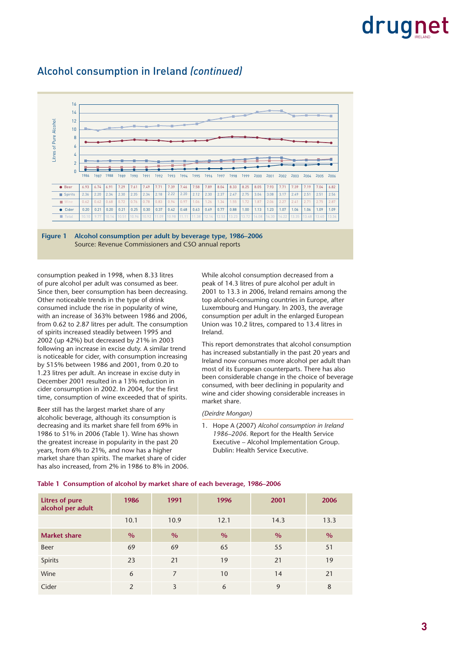

#### Alcohol consumption in Ireland *(continued)*



consumption peaked in 1998, when 8.33 litres of pure alcohol per adult was consumed as beer. Since then, beer consumption has been decreasing. Other noticeable trends in the type of drink consumed include the rise in popularity of wine, with an increase of 363% between 1986 and 2006, from 0.62 to 2.87 litres per adult. The consumption of spirits increased steadily between 1995 and 2002 (up 42%) but decreased by 21% in 2003 following an increase in excise duty. A similar trend is noticeable for cider, with consumption increasing by 515% between 1986 and 2001, from 0.20 to 1.23 litres per adult. An increase in excise duty in December 2001 resulted in a 13% reduction in cider consumption in 2002. In 2004, for the first time, consumption of wine exceeded that of spirits.

Beer still has the largest market share of any alcoholic beverage, although its consumption is decreasing and its market share fell from 69% in 1986 to 51% in 2006 (Table 1). Wine has shown the greatest increase in popularity in the past 20 years, from 6% to 21%, and now has a higher market share than spirits. The market share of cider has also increased, from 2% in 1986 to 8% in 2006. While alcohol consumption decreased from a peak of 14.3 litres of pure alcohol per adult in 2001 to 13.3 in 2006, Ireland remains among the top alcohol-consuming countries in Europe, after Luxembourg and Hungary. In 2003, the average consumption per adult in the enlarged European Union was 10.2 litres, compared to 13.4 litres in Ireland.

This report demonstrates that alcohol consumption has increased substantially in the past 20 years and Ireland now consumes more alcohol per adult than most of its European counterparts. There has also been considerable change in the choice of beverage consumed, with beer declining in popularity and wine and cider showing considerable increases in market share.

#### *(Deirdre Mongan)*

1. Hope A (2007) *Alcohol consumption in Ireland 1986–2006.* Report for the Health Service Executive – Alcohol Implementation Group. Dublin: Health Service Executive.

| <b>Litres of pure</b><br>alcohol per adult | 1986          | 1991 | 1996 | 2001 | 2006 |
|--------------------------------------------|---------------|------|------|------|------|
|                                            | 10.1          | 10.9 | 12.1 | 14.3 | 13.3 |
| <b>Market share</b>                        | $\frac{9}{6}$ | $\%$ | $\%$ | $\%$ | $\%$ |
| <b>Beer</b>                                | 69            | 69   | 65   | 55   | 51   |
| Spirits                                    | 23            | 21   | 19   | 21   | 19   |
| Wine                                       | 6             | 7    | 10   | 14   | 21   |
| Cider                                      | 2             | 3    | 6    | 9    | 8    |

#### **Table 1 Consumption of alcohol by market share of each beverage, 1986–2006**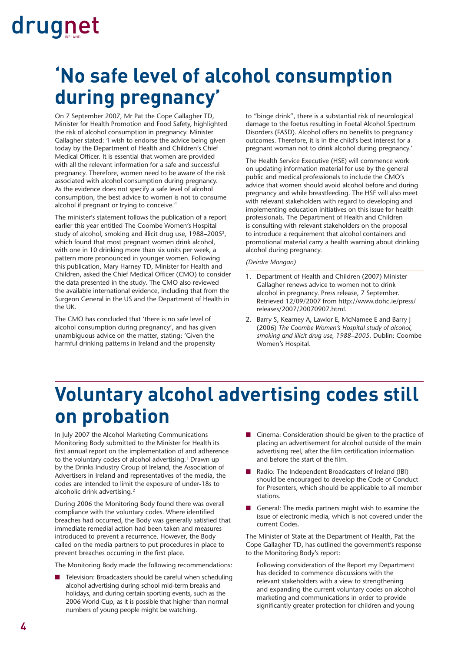### **'No safe level of alcohol consumption during pregnancy'**

On 7 September 2007, Mr Pat the Cope Gallagher TD, Minister for Health Promotion and Food Safety, highlighted the risk of alcohol consumption in pregnancy. Minister Gallagher stated: 'I wish to endorse the advice being given today by the Department of Health and Children's Chief Medical Officer. It is essential that women are provided with all the relevant information for a safe and successful pregnancy. Therefore, women need to be aware of the risk associated with alcohol consumption during pregnancy. As the evidence does not specify a safe level of alcohol consumption, the best advice to women is not to consume alcohol if pregnant or trying to conceive.'1

The minister's statement follows the publication of a report earlier this year entitled The Coombe Women's Hospital study of alcohol, smoking and illicit drug use, 1988–20052, which found that most pregnant women drink alcohol, with one in 10 drinking more than six units per week, a pattern more pronounced in younger women. Following this publication, Mary Harney TD, Minister for Health and Children, asked the Chief Medical Officer (CMO) to consider the data presented in the study. The CMO also reviewed the available international evidence, including that from the Surgeon General in the US and the Department of Health in the UK.

The CMO has concluded that 'there is no safe level of alcohol consumption during pregnancy', and has given unambiguous advice on the matter, stating: 'Given the harmful drinking patterns in Ireland and the propensity

to "binge drink", there is a substantial risk of neurological damage to the foetus resulting in Foetal Alcohol Spectrum Disorders (FASD). Alcohol offers no benefits to pregnancy outcomes. Therefore, it is in the child's best interest for a pregnant woman not to drink alcohol during pregnancy.'

The Health Service Executive (HSE) will commence work on updating information material for use by the general public and medical professionals to include the CMO's advice that women should avoid alcohol before and during pregnancy and while breastfeeding. The HSE will also meet with relevant stakeholders with regard to developing and implementing education initiatives on this issue for health professionals. The Department of Health and Children is consulting with relevant stakeholders on the proposal to introduce a requirement that alcohol containers and promotional material carry a health warning about drinking alcohol during pregnancy.

#### *(Deirdre Mongan)*

- 1. Department of Health and Children (2007) Minister Gallagher renews advice to women not to drink alcohol in pregnancy. Press release, 7 September. Retrieved 12/09/2007 from http://www.dohc.ie/press/ releases/2007/20070907.html.
- 2. Barry S, Kearney A, Lawlor E, McNamee E and Barry J (2006) *The Coombe Women's Hospital study of alcohol, smoking and illicit drug use, 1988–2005.* Dublin: Coombe Women's Hospital.

### **Voluntary alcohol advertising codes still on probation**

In July 2007 the Alcohol Marketing Communications Monitoring Body submitted to the Minister for Health its first annual report on the implementation of and adherence to the voluntary codes of alcohol advertising.<sup>1</sup> Drawn up by the Drinks Industry Group of Ireland, the Association of Advertisers in Ireland and representatives of the media, the codes are intended to limit the exposure of under-18s to alcoholic drink advertising.2

During 2006 the Monitoring Body found there was overall compliance with the voluntary codes. Where identified breaches had occurred, the Body was generally satisfied that immediate remedial action had been taken and measures introduced to prevent a recurrence. However, the Body called on the media partners to put procedures in place to prevent breaches occurring in the first place.

The Monitoring Body made the following recommendations:

Television: Broadcasters should be careful when scheduling alcohol advertising during school mid-term breaks and holidays, and during certain sporting events, such as the 2006 World Cup, as it is possible that higher than normal numbers of young people might be watching.

- Cinema: Consideration should be given to the practice of placing an advertisement for alcohol outside of the main advertising reel, after the film certification information and before the start of the film.
- Radio: The Independent Broadcasters of Ireland (IBI) should be encouraged to develop the Code of Conduct for Presenters, which should be applicable to all member stations.
- General: The media partners might wish to examine the issue of electronic media, which is not covered under the current Codes.

The Minister of State at the Department of Health, Pat the Cope Gallagher TD, has outlined the government's response to the Monitoring Body's report:

Following consideration of the Report my Department has decided to commence discussions with the relevant stakeholders with a view to strengthening and expanding the current voluntary codes on alcohol marketing and communications in order to provide significantly greater protection for children and young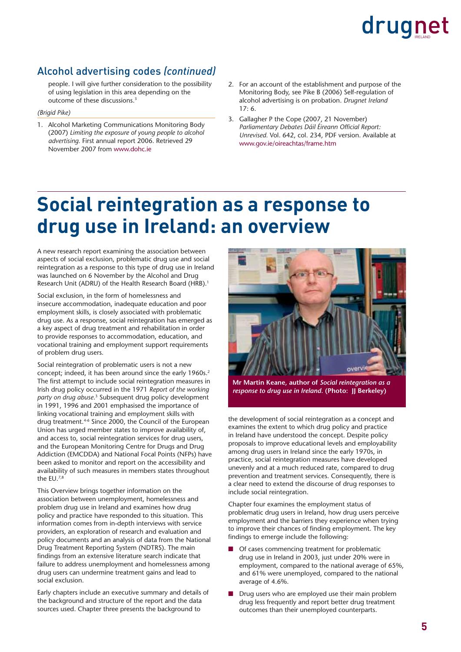#### Alcohol advertising codes *(continued)*

people. I will give further consideration to the possibility of using legislation in this area depending on the outcome of these discussions.<sup>3</sup>

#### *(Brigid Pike)*

- 1. Alcohol Marketing Communications Monitoring Body (2007) *Limiting the exposure of young people to alcohol advertising.* First annual report 2006. Retrieved 29 November 2007 from www.dohc.ie
- 2. For an account of the establishment and purpose of the Monitoring Body, see Pike B (2006) Self-regulation of alcohol advertising is on probation. *Drugnet Ireland*  $17.6$
- 3. Gallagher P the Cope (2007, 21 November) Parliamentary Debates Dáil Éireann Official Report: *Unrevised.* Vol. 642, col. 234, PDF version. Available at www.gov.ie/oireachtas/frame.htm

### **Social reintegration as a response to drug use in Ireland: an overview**

A new research report examining the association between aspects of social exclusion, problematic drug use and social reintegration as a response to this type of drug use in Ireland was launched on 6 November by the Alcohol and Drug Research Unit (ADRU) of the Health Research Board (HRB).<sup>1</sup>

Social exclusion, in the form of homelessness and insecure accommodation, inadequate education and poor employment skills, is closely associated with problematic drug use. As a response, social reintegration has emerged as a key aspect of drug treatment and rehabilitation in order to provide responses to accommodation, education, and vocational training and employment support requirements of problem drug users.

Social reintegration of problematic users is not a new concept; indeed, it has been around since the early 1960s.<sup>2</sup> The first attempt to include social reintegration measures in Irish drug policy occurred in the 1971 *Report of the working party on drug abuse*. 3 Subsequent drug policy development in 1991, 1996 and 2001 emphasised the importance of linking vocational training and employment skills with drug treatment.4-6 Since 2000, the Council of the European Union has urged member states to improve availability of, and access to, social reintegration services for drug users, and the European Monitoring Centre for Drugs and Drug Addiction (EMCDDA) and National Focal Points (NFPs) have been asked to monitor and report on the accessibility and availability of such measures in members states throughout the EU.7,8

This Overview brings together information on the association between unemployment, homelessness and problem drug use in Ireland and examines how drug policy and practice have responded to this situation. This information comes from in-depth interviews with service providers, an exploration of research and evaluation and policy documents and an analysis of data from the National Drug Treatment Reporting System (NDTRS). The main findings from an extensive literature search indicate that failure to address unemployment and homelessness among drug users can undermine treatment gains and lead to social exclusion.

Early chapters include an executive summary and details of the background and structure of the report and the data sources used. Chapter three presents the background to



**Mr Martin Keane, author of** *Social reintegration as a response to drug use in Ireland***. (Photo: JJ Berkeley)**

the development of social reintegration as a concept and examines the extent to which drug policy and practice in Ireland have understood the concept. Despite policy proposals to improve educational levels and employability among drug users in Ireland since the early 1970s, in practice, social reintegration measures have developed unevenly and at a much reduced rate, compared to drug prevention and treatment services. Consequently, there is a clear need to extend the discourse of drug responses to include social reintegration.

Chapter four examines the employment status of problematic drug users in Ireland, how drug users perceive employment and the barriers they experience when trying to improve their chances of finding employment. The key findings to emerge include the following:

- Of cases commencing treatment for problematic drug use in Ireland in 2003, just under 20% were in employment, compared to the national average of 65%, and 61% were unemployed, compared to the national average of 4.6%.
- Drug users who are employed use their main problem drug less frequently and report better drug treatment outcomes than their unemployed counterparts.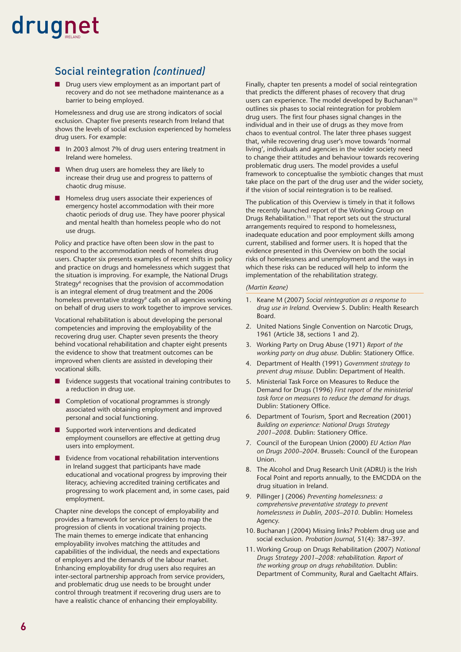#### Social reintegration *(continued)*

■ Drug users view employment as an important part of recovery and do not see methadone maintenance as a barrier to being employed.

Homelessness and drug use are strong indicators of social exclusion. Chapter five presents research from Ireland that shows the levels of social exclusion experienced by homeless drug users. For example:

- In 2003 almost 7% of drug users entering treatment in Ireland were homeless.
- When drug users are homeless they are likely to increase their drug use and progress to patterns of chaotic drug misuse.
- Homeless drug users associate their experiences of emergency hostel accommodation with their more chaotic periods of drug use. They have poorer physical and mental health than homeless people who do not use drugs.

Policy and practice have often been slow in the past to respond to the accommodation needs of homeless drug users. Chapter six presents examples of recent shifts in policy and practice on drugs and homelessness which suggest that the situation is improving. For example, the National Drugs Strategy<sup>6</sup> recognises that the provision of accommodation is an integral element of drug treatment and the 2006 homeless preventative strategy<sup>9</sup> calls on all agencies working on behalf of drug users to work together to improve services.

Vocational rehabilitation is about developing the personal competencies and improving the employability of the recovering drug user. Chapter seven presents the theory behind vocational rehabilitation and chapter eight presents the evidence to show that treatment outcomes can be improved when clients are assisted in developing their vocational skills.

- Evidence suggests that vocational training contributes to a reduction in drug use.
- Completion of vocational programmes is strongly associated with obtaining employment and improved personal and social functioning.
- Supported work interventions and dedicated employment counsellors are effective at getting drug users into employment.
- Evidence from vocational rehabilitation interventions in Ireland suggest that participants have made educational and vocational progress by improving their literacy, achieving accredited training certificates and progressing to work placement and, in some cases, paid employment.

Chapter nine develops the concept of employability and provides a framework for service providers to map the progression of clients in vocational training projects. The main themes to emerge indicate that enhancing employability involves matching the attitudes and capabilities of the individual, the needs and expectations of employers and the demands of the labour market. Enhancing employability for drug users also requires an inter-sectoral partnership approach from service providers, and problematic drug use needs to be brought under control through treatment if recovering drug users are to have a realistic chance of enhancing their employability.

Finally, chapter ten presents a model of social reintegration that predicts the different phases of recovery that drug users can experience. The model developed by Buchanan<sup>10</sup> outlines six phases to social reintegration for problem drug users. The first four phases signal changes in the individual and in their use of drugs as they move from chaos to eventual control. The later three phases suggest that, while recovering drug user's move towards 'normal living', individuals and agencies in the wider society need to change their attitudes and behaviour towards recovering problematic drug users. The model provides a useful framework to conceptualise the symbiotic changes that must take place on the part of the drug user and the wider society, if the vision of social reintegration is to be realised.

The publication of this Overview is timely in that it follows the recently launched report of the Working Group on Drugs Rehabilitation.11 That report sets out the structural arrangements required to respond to homelessness, inadequate education and poor employment skills among current, stabilised and former users. It is hoped that the evidence presented in this Overview on both the social risks of homelessness and unemployment and the ways in which these risks can be reduced will help to inform the implementation of the rehabilitation strategy.

#### *(Martin Keane)*

- 1. Keane M (2007) *Social reintegration as a response to drug use in Ireland.* Overview 5. Dublin: Health Research Board.
- 2. United Nations Single Convention on Narcotic Drugs, 1961 (Article 38, sections 1 and 2).
- 3. Working Party on Drug Abuse (1971) *Report of the working party on drug abuse.* Dublin: Stationery Office.
- 4. Department of Health (1991) *Government strategy to prevent drug misuse.* Dublin: Department of Health.
- 5. Ministerial Task Force on Measures to Reduce the Demand for Drugs (1996) *First report of the ministerial task force on measures to reduce the demand for drugs.* Dublin: Stationery Office.
- 6. Department of Tourism, Sport and Recreation (2001) *Building on experience: National Drugs Strategy*  2001–2008. Dublin: Stationery Office.
- 7. Council of the European Union (2000) *EU Action Plan on Drugs 2000–2004.* Brussels: Council of the European Union.
- 8. The Alcohol and Drug Research Unit (ADRU) is the Irish Focal Point and reports annually, to the EMCDDA on the drug situation in Ireland.
- 9. Pillinger J (2006) *Preventing homelessness: a comprehensive preventative strategy to prevent homelessness in Dublin, 2005–2010.* Dublin: Homeless Agency.
- 10. Buchanan J (2004) Missing links? Problem drug use and social exclusion. *Probation Journal*, 51(4): 387–397.
- 11. Working Group on Drugs Rehabilitation (2007) *National Drugs Strategy 2001–2008: rehabilitation. Report of the working group on drugs rehabilitation.* Dublin: Department of Community, Rural and Gaeltacht Affairs.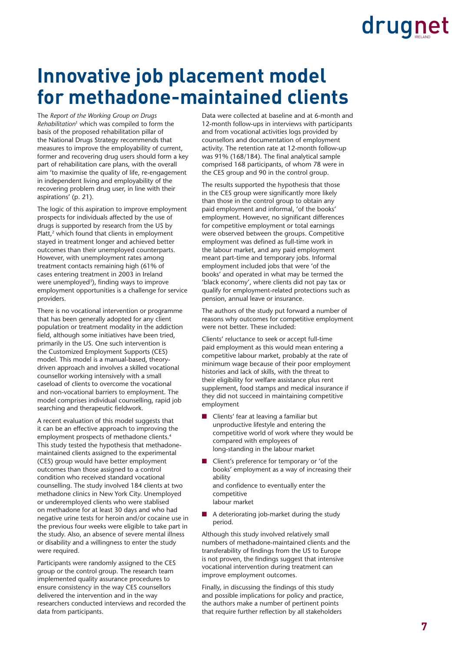### **Innovative job placement model for methadone-maintained clients**

The *Report of the Working Group on Drugs Rehabilitation*1 which was compiled to form the basis of the proposed rehabilitation pillar of the National Drugs Strategy recommends that measures to improve the employability of current, former and recovering drug users should form a key part of rehabilitation care plans, with the overall aim 'to maximise the quality of life, re-engagement in independent living and employability of the recovering problem drug user, in line with their aspirations' (p. 21).

The logic of this aspiration to improve employment prospects for individuals affected by the use of drugs is supported by research from the US by Platt,<sup>2</sup> which found that clients in employment stayed in treatment longer and achieved better outcomes than their unemployed counterparts. However, with unemployment rates among treatment contacts remaining high (61% of cases entering treatment in 2003 in Ireland were unemployed<sup>3</sup>), finding ways to improve employment opportunities is a challenge for service providers.

There is no vocational intervention or programme that has been generally adopted for any client population or treatment modality in the addiction field, although some initiatives have been tried. primarily in the US. One such intervention is the Customized Employment Supports (CES) model. This model is a manual-based, theorydriven approach and involves a skilled vocational counsellor working intensively with a small caseload of clients to overcome the vocational and non-vocational barriers to employment. The model comprises individual counselling, rapid job searching and therapeutic fieldwork.

A recent evaluation of this model suggests that it can be an effective approach to improving the employment prospects of methadone clients.<sup>4</sup> This study tested the hypothesis that methadonemaintained clients assigned to the experimental (CES) group would have better employment outcomes than those assigned to a control condition who received standard vocational counselling. The study involved 184 clients at two methadone clinics in New York City. Unemployed or underemployed clients who were stablised on methadone for at least 30 days and who had negative urine tests for heroin and/or cocaine use in the previous four weeks were eligible to take part in the study. Also, an absence of severe mental illness or disability and a willingness to enter the study were required.

Participants were randomly assigned to the CES group or the control group. The research team implemented quality assurance procedures to ensure consistency in the way CES counsellors delivered the intervention and in the way researchers conducted interviews and recorded the data from participants.

Data were collected at baseline and at 6-month and 12-month follow-ups in interviews with participants and from vocational activities logs provided by counsellors and documentation of employment activity. The retention rate at 12-month follow-up was  $91\%$  (168/184). The final analytical sample comprised 168 participants, of whom 78 were in the CES group and 90 in the control group.

The results supported the hypothesis that those in the CES group were significantly more likely than those in the control group to obtain any paid employment and informal, 'of the books' employment. However, no significant differences for competitive employment or total earnings were observed between the groups. Competitive employment was defined as full-time work in the labour market, and any paid employment meant part-time and temporary jobs. Informal employment included jobs that were 'of the books' and operated in what may be termed the 'black economy', where clients did not pay tax or qualify for employment-related protections such as pension, annual leave or insurance.

The authors of the study put forward a number of reasons why outcomes for competitive employment were not better. These included:

Clients' reluctance to seek or accept full-time paid employment as this would mean entering a competitive labour market, probably at the rate of minimum wage because of their poor employment histories and lack of skills, with the threat to their eligibility for welfare assistance plus rent supplement, food stamps and medical insurance if they did not succeed in maintaining competitive employment

- Clients' fear at leaving a familiar but unproductive lifestyle and entering the competitive world of work where they would be compared with employees of long-standing in the labour market
- Client's preference for temporary or 'of the books' employment as a way of increasing their ability and confidence to eventually enter the competitive labour market
- A deteriorating job-market during the study period.

Although this study involved relatively small numbers of methadone-maintained clients and the transferability of findings from the US to Europe is not proven, the findings suggest that intensive vocational intervention during treatment can improve employment outcomes.

Finally, in discussing the findings of this study and possible implications for policy and practice, the authors make a number of pertinent points that require further reflection by all stakeholders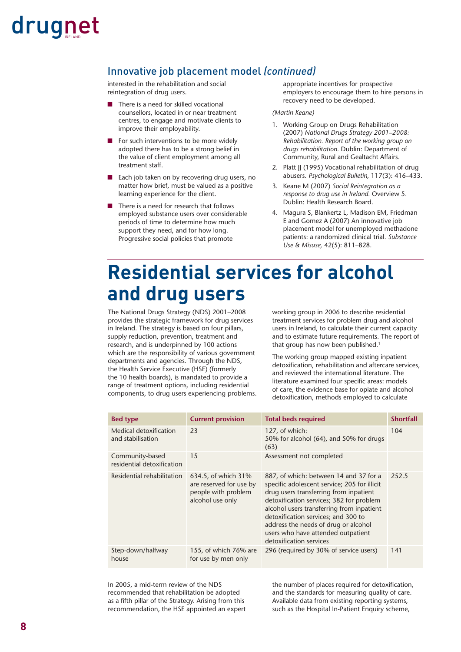#### Innovative job placement model *(continued)*

interested in the rehabilitation and social reintegration of drug users.

- There is a need for skilled vocational counsellors, located in or near treatment centres, to engage and motivate clients to improve their employability.
- For such interventions to be more widely adopted there has to be a strong belief in the value of client employment among all treatment staff.
- Each job taken on by recovering drug users, no matter how brief, must be valued as a positive learning experience for the client.
- There is a need for research that follows employed substance users over considerable periods of time to determine how much support they need, and for how long. Progressive social policies that promote

appropriate incentives for prospective employers to encourage them to hire persons in recovery need to be developed.

#### *(Martin Keane)*

- 1. Working Group on Drugs Rehabilitation (2007) *National Drugs Strategy 2001–2008: Rehabilitation. Report of the working group on drugs rehabilitation.* Dublin: Department of Community, Rural and Gealtacht Affairs.
- 2. Platt II (1995) Vocational rehabilitation of drug abusers. *Psychological Bulletin,* 117(3): 416–433.
- 3. Keane M (2007) *Social Reintegration as a response to drug use in Ireland.* Overview 5. Dublin: Health Research Board.
- 4. Magura S, Blankertz L, Madison EM, Friedman E and Gomez A (2007) An innovative job placement model for unemployed methadone patients: a randomized clinical trial. *Substance Use & Misuse,* 42(5): 811–828.

### **Residential services for alcohol and drug users**

The National Drugs Strategy (NDS) 2001–2008 provides the strategic framework for drug services in Ireland. The strategy is based on four pillars, supply reduction, prevention, treatment and research, and is underpinned by 100 actions which are the responsibility of various government departments and agencies. Through the NDS, the Health Service Executive (HSE) (formerly the 10 health boards), is mandated to provide a range of treatment options, including residential components, to drug users experiencing problems. working group in 2006 to describe residential treatment services for problem drug and alcohol users in Ireland, to calculate their current capacity and to estimate future requirements. The report of that group has now been published.<sup>1</sup>

The working group mapped existing inpatient detoxification, rehabilitation and aftercare services, and reviewed the international literature. The literature examined four specific areas: models of care, the evidence base for opiate and alcohol detoxification, methods employed to calculate

| <b>Bed type</b>                               | <b>Current provision</b>                                                                  | <b>Total beds required</b>                                                                                                                                                                                                                                                                                                                                                | <b>Shortfall</b> |
|-----------------------------------------------|-------------------------------------------------------------------------------------------|---------------------------------------------------------------------------------------------------------------------------------------------------------------------------------------------------------------------------------------------------------------------------------------------------------------------------------------------------------------------------|------------------|
| Medical detoxification<br>and stabilisation   | 23                                                                                        | 127, of which:<br>50% for alcohol (64), and 50% for drugs<br>(63)                                                                                                                                                                                                                                                                                                         | 104              |
| Community-based<br>residential detoxification | 15                                                                                        | Assessment not completed                                                                                                                                                                                                                                                                                                                                                  |                  |
| Residential rehabilitation                    | 634.5, of which 31%<br>are reserved for use by<br>people with problem<br>alcohol use only | 887, of which: between 14 and 37 for a<br>specific adolescent service; 205 for illicit<br>drug users transferring from inpatient<br>detoxification services; 382 for problem<br>alcohol users transferring from inpatient<br>detoxification services; and 300 to<br>address the needs of drug or alcohol<br>users who have attended outpatient<br>detoxification services | 252.5            |
| Step-down/halfway<br>house                    | 155, of which 76% are<br>for use by men only                                              | 296 (required by 30% of service users)                                                                                                                                                                                                                                                                                                                                    | 141              |

In 2005, a mid-term review of the NDS recommended that rehabilitation be adopted as a fifth pillar of the Strategy. Arising from this recommendation, the HSE appointed an expert the number of places required for detoxification, and the standards for measuring quality of care. Available data from existing reporting systems, such as the Hospital In-Patient Enquiry scheme,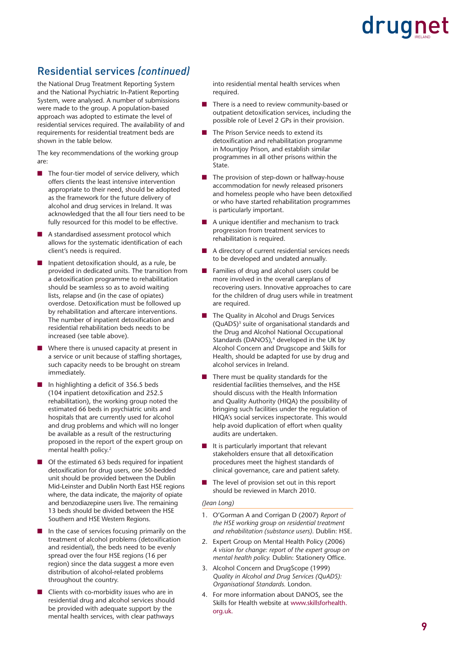#### Residential services *(continued)*

the National Drug Treatment Reporting System and the National Psychiatric In-Patient Reporting System, were analysed. A number of submissions were made to the group. A population-based approach was adopted to estimate the level of residential services required. The availability of and requirements for residential treatment beds are shown in the table below.

The key recommendations of the working group are:

- The four-tier model of service delivery, which offers clients the least intensive intervention appropriate to their need, should be adopted as the framework for the future delivery of alcohol and drug services in Ireland. It was acknowledged that the all four tiers need to be fully resourced for this model to be effective.
- A standardised assessment protocol which allows for the systematic identification of each client's needs is required.
- Inpatient detoxification should, as a rule, be provided in dedicated units. The transition from a detoxification programme to rehabilitation should be seamless so as to avoid waiting lists, relapse and (in the case of opiates) overdose. Detoxification must be followed up by rehabilitation and aftercare interventions. The number of inpatient detoxification and residential rehabilitation beds needs to be increased (see table above).
- Where there is unused capacity at present in a service or unit because of staffing shortages, such capacity needs to be brought on stream immediately.
- $\blacksquare$  In highlighting a deficit of 356.5 beds (104 inpatient detoxification and 252.5 rehabilitation), the working group noted the estimated 66 beds in psychiatric units and hospitals that are currently used for alcohol and drug problems and which will no longer be available as a result of the restructuring proposed in the report of the expert group on mental health policy.<sup>2</sup>
- Of the estimated 63 beds required for inpatient detoxification for drug users, one 50-bedded unit should be provided between the Dublin Mid-Leinster and Dublin North East HSE regions where, the data indicate, the majority of opiate and benzodiazepine users live. The remaining 13 beds should be divided between the HSE Southern and HSE Western Regions.
- In the case of services focusing primarily on the treatment of alcohol problems (detoxification and residential), the beds need to be evenly spread over the four HSE regions (16 per region) since the data suggest a more even distribution of alcohol-related problems throughout the country.
- Clients with co-morbidity issues who are in residential drug and alcohol services should be provided with adequate support by the mental health services, with clear pathways

into residential mental health services when required.

- There is a need to review community-based or outpatient detoxification services, including the possible role of Level 2 GPs in their provision.
- The Prison Service needs to extend its detoxification and rehabilitation programme in Mountjoy Prison, and establish similar programmes in all other prisons within the State.
- The provision of step-down or halfway-house accommodation for newly released prisoners and homeless people who have been detoxified or who have started rehabilitation programmes is particularly important.
- A unique identifier and mechanism to track progression from treatment services to rehabilitation is required.
- A directory of current residential services needs to be developed and undated annually.
- Families of drug and alcohol users could be more involved in the overall careplans of recovering users. Innovative approaches to care for the children of drug users while in treatment are required.
- The Quality in Alcohol and Drugs Services (QuADS)3 suite of organisational standards and the Drug and Alcohol National Occupational Standards (DANOS), $4$  developed in the UK by Alcohol Concern and Drugscope and Skills for Health, should be adapted for use by drug and alcohol services in Ireland.
- There must be quality standards for the residential facilities themselves, and the HSE should discuss with the Health Information and Quality Authority (HIQA) the possibility of bringing such facilities under the regulation of HIQA's social services inspectorate. This would help avoid duplication of effort when quality audits are undertaken.
- It is particularly important that relevant stakeholders ensure that all detoxification procedures meet the highest standards of clinical governance, care and patient safety.
- The level of provision set out in this report should be reviewed in March 2010.

#### *(Jean Long)*

- 1. O'Gorman A and Corrigan D (2007) *Report of the HSE working group on residential treatment and rehabilitation (substance users).* Dublin: HSE.
- 2. Expert Group on Mental Health Policy (2006) *A vision for change: report of the expert group on mental health policy. Dublin: Stationery Office.*
- 3. Alcohol Concern and DrugScope (1999) *Quality in Alcohol and Drug Services (QuADS): Organisational Standards.* London.
- 4. For more information about DANOS, see the Skills for Health website at www.skillsforhealth. org.uk.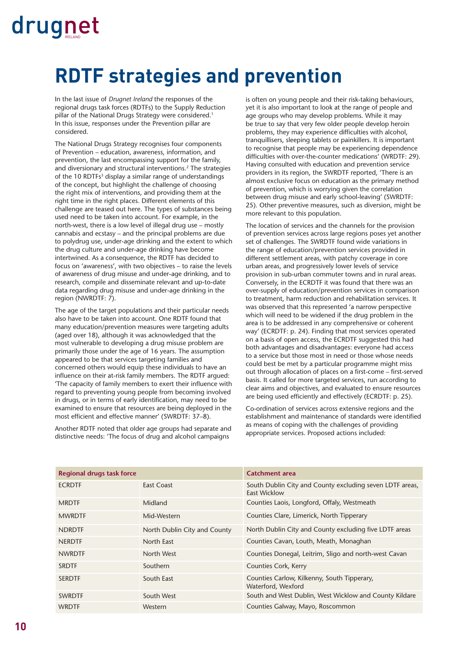### **RDTF strategies and prevention**

In the last issue of *Drugnet Ireland* the responses of the regional drugs task forces (RDTFs) to the Supply Reduction pillar of the National Drugs Strategy were considered.<sup>1</sup> In this issue, responses under the Prevention pillar are considered.

The National Drugs Strategy recognises four components of Prevention – education, awareness, information, and prevention, the last encompassing support for the family, and diversionary and structural interventions.2 The strategies of the 10 RDTFs<sup>3</sup> display a similar range of understandings of the concept, but highlight the challenge of choosing the right mix of interventions, and providing them at the right time in the right places. Different elements of this challenge are teased out here. The types of substances being used need to be taken into account. For example, in the north-west, there is a low level of illegal drug use – mostly cannabis and ecstasy – and the principal problems are due to polydrug use, under-age drinking and the extent to which the drug culture and under-age drinking have become intertwined. As a consequence, the RDTF has decided to focus on 'awareness', with two objectives – to raise the levels of awareness of drug misuse and under-age drinking, and to research, compile and disseminate relevant and up-to-date data regarding drug misuse and under-age drinking in the region (NWRDTF: 7).

The age of the target populations and their particular needs also have to be taken into account. One RDTF found that many education/prevention measures were targeting adults (aged over 18), although it was acknowledged that the most vulnerable to developing a drug misuse problem are primarily those under the age of 16 years. The assumption appeared to be that services targeting families and concerned others would equip these individuals to have an influence on their at-risk family members. The RDTF arqued: 'The capacity of family members to exert their influence with regard to preventing young people from becoming involved in drugs, or in terms of early identification, may need to be examined to ensure that resources are being deployed in the most efficient and effective manner' (SWRDTF: 37-8).

Another RDTF noted that older age groups had separate and distinctive needs: 'The focus of drug and alcohol campaigns

is often on young people and their risk-taking behaviours, yet it is also important to look at the range of people and age groups who may develop problems. While it may be true to say that very few older people develop heroin problems, they may experience difficulties with alcohol, tranquillisers, sleeping tablets or painkillers. It is important to recognise that people may be experiencing dependence difficulties with over-the-counter medications' (WRDTF: 29). Having consulted with education and prevention service providers in its region, the SWRDTF reported, 'There is an almost exclusive focus on education as the primary method of prevention, which is worrying given the correlation between drug misuse and early school-leaving' (SWRDTF: 25). Other preventive measures, such as diversion, might be more relevant to this population.

The location of services and the channels for the provision of prevention services across large regions poses yet another set of challenges. The SWRDTF found wide variations in the range of education/prevention services provided in different settlement areas, with patchy coverage in core urban areas, and progressively lower levels of service provision in sub-urban commuter towns and in rural areas. Conversely, in the ECRDTF it was found that there was an over-supply of education/prevention services in comparison to treatment, harm reduction and rehabilitation services. It was observed that this represented 'a narrow perspective which will need to be widened if the drug problem in the area is to be addressed in any comprehensive or coherent way' (ECRDTF: p. 24). Finding that most services operated on a basis of open access, the ECRDTF suggested this had both advantages and disadvantages: everyone had access to a service but those most in need or those whose needs could best be met by a particular programme might miss out through allocation of places on a first-come – first-served basis. It called for more targeted services, run according to clear aims and objectives, and evaluated to ensure resources are being used efficiently and effectively (ECRDTF: p. 25).

Co-ordination of services across extensive regions and the establishment and maintenance of standards were identified as means of coping with the challenges of providing appropriate services. Proposed actions included:

| <b>Regional drugs task force</b> |                              | Catchment area                                                                  |
|----------------------------------|------------------------------|---------------------------------------------------------------------------------|
| <b>ECRDTF</b>                    | <b>Fast Coast</b>            | South Dublin City and County excluding seven LDTF areas,<br><b>East Wicklow</b> |
| <b>MRDTF</b>                     | Midland                      | Counties Laois, Longford, Offaly, Westmeath                                     |
| <b>MWRDTF</b>                    | Mid-Western                  | Counties Clare, Limerick, North Tipperary                                       |
| <b>NDRDTF</b>                    | North Dublin City and County | North Dublin City and County excluding five LDTF areas                          |
| <b>NERDTF</b>                    | North East                   | Counties Cavan, Louth, Meath, Monaghan                                          |
| <b>NWRDTF</b>                    | North West                   | Counties Donegal, Leitrim, Sligo and north-west Cavan                           |
| <b>SRDTF</b>                     | Southern                     | Counties Cork, Kerry                                                            |
| <b>SERDTF</b>                    | South East                   | Counties Carlow, Kilkenny, South Tipperary,<br>Waterford, Wexford               |
| <b>SWRDTF</b>                    | South West                   | South and West Dublin, West Wicklow and County Kildare                          |
| <b>WRDTF</b>                     | Western                      | Counties Galway, Mayo, Roscommon                                                |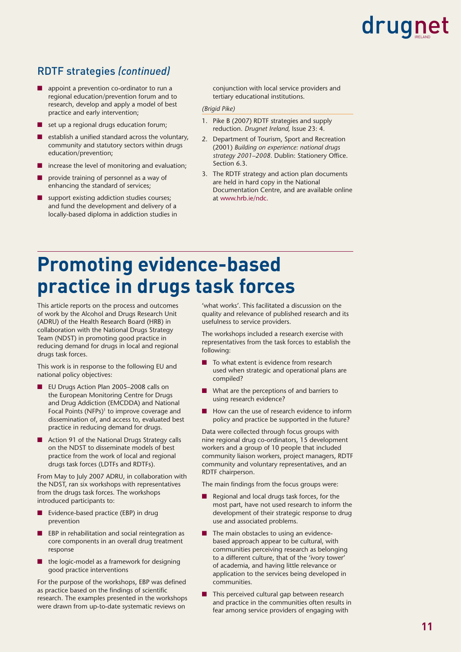#### RDTF strategies *(continued)*

- appoint a prevention co-ordinator to run a regional education/prevention forum and to research, develop and apply a model of best practice and early intervention;
- set up a regional drugs education forum;
- establish a unified standard across the voluntary, community and statutory sectors within drugs education/prevention;
- increase the level of monitoring and evaluation;
- provide training of personnel as a way of enhancing the standard of services;
- support existing addiction studies courses; and fund the development and delivery of a locally-based diploma in addiction studies in

conjunction with local service providers and tertiary educational institutions.

#### *(Brigid Pike)*

- 1. Pike B (2007) RDTF strategies and supply reduction. *Drugnet Ireland,* Issue 23: 4.
- 2. Department of Tourism, Sport and Recreation (2001) *Building on experience: national drugs*  strategy 2001-2008. Dublin: Stationery Office. Section 6.3.
- 3. The RDTF strategy and action plan documents are held in hard copy in the National Documentation Centre, and are available online at www.hrb.ie/ndc.

### **Promoting evidence-based practice in drugs task forces**

This article reports on the process and outcomes of work by the Alcohol and Drugs Research Unit (ADRU) of the Health Research Board (HRB) in collaboration with the National Drugs Strategy Team (NDST) in promoting good practice in reducing demand for drugs in local and regional drugs task forces.

This work is in response to the following EU and national policy objectives:

- EU Drugs Action Plan 2005–2008 calls on the European Monitoring Centre for Drugs and Drug Addiction (EMCDDA) and National Focal Points (NFPs)<sup>1</sup> to improve coverage and dissemination of, and access to, evaluated best practice in reducing demand for drugs.
- Action 91 of the National Drugs Strategy calls on the NDST to disseminate models of best practice from the work of local and regional drugs task forces (LDTFs and RDTFs).

From May to July 2007 ADRU, in collaboration with the NDST, ran six workshops with representatives from the drugs task forces. The workshops introduced participants to:

- Evidence-based practice (EBP) in drug prevention
- EBP in rehabilitation and social reintegration as core components in an overall drug treatment response
- the logic-model as a framework for designing good practice interventions

For the purpose of the workshops, EBP was defined as practice based on the findings of scientific research. The examples presented in the workshops were drawn from up-to-date systematic reviews on

'what works'. This facilitated a discussion on the quality and relevance of published research and its usefulness to service providers.

The workshops included a research exercise with representatives from the task forces to establish the following:

- To what extent is evidence from research used when strategic and operational plans are compiled?
- What are the perceptions of and barriers to using research evidence?
- How can the use of research evidence to inform policy and practice be supported in the future?

Data were collected through focus groups with nine regional drug co-ordinators, 15 development workers and a group of 10 people that included community liaison workers, project managers, RDTF community and voluntary representatives, and an RDTF chairperson.

The main findings from the focus groups were:

- Regional and local drugs task forces, for the most part, have not used research to inform the development of their strategic response to drug use and associated problems.
- The main obstacles to using an evidencebased approach appear to be cultural, with communities perceiving research as belonging to a different culture, that of the 'ivory tower' of academia, and having little relevance or application to the services being developed in communities.
- This perceived cultural gap between research and practice in the communities often results in fear among service providers of engaging with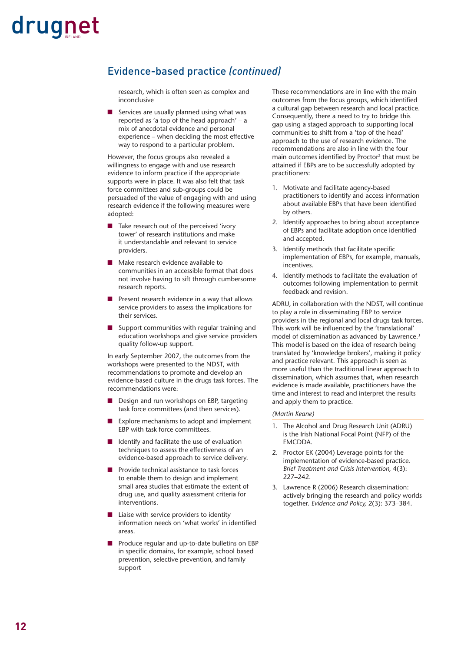#### Evidence-based practice *(continued)*

research, which is often seen as complex and inconclusive

■ Services are usually planned using what was reported as 'a top of the head approach' – a mix of anecdotal evidence and personal experience – when deciding the most effective way to respond to a particular problem.

However, the focus groups also revealed a willingness to engage with and use research evidence to inform practice if the appropriate supports were in place. It was also felt that task force committees and sub-groups could be persuaded of the value of engaging with and using research evidence if the following measures were adopted:

- Take research out of the perceived 'ivory tower' of research institutions and make it understandable and relevant to service providers.
- Make research evidence available to communities in an accessible format that does not involve having to sift through cumbersome research reports.
- Present research evidence in a way that allows service providers to assess the implications for their services.
- Support communities with regular training and education workshops and give service providers quality follow-up support.

In early September 2007, the outcomes from the workshops were presented to the NDST, with recommendations to promote and develop an evidence-based culture in the drugs task forces. The recommendations were:

- Design and run workshops on EBP, targeting task force committees (and then services).
- Explore mechanisms to adopt and implement EBP with task force committees.
- Identify and facilitate the use of evaluation techniques to assess the effectiveness of an evidence-based approach to service delivery.
- Provide technical assistance to task forces to enable them to design and implement small area studies that estimate the extent of drug use, and quality assessment criteria for interventions.
- Liaise with service providers to identity information needs on 'what works' in identified areas.
- Produce regular and up-to-date bulletins on EBP in specific domains, for example, school based prevention, selective prevention, and family support

These recommendations are in line with the main outcomes from the focus groups, which identified a cultural gap between research and local practice. Consequently, there a need to try to bridge this gap using a staged approach to supporting local communities to shift from a 'top of the head' approach to the use of research evidence. The recommendations are also in line with the four main outcomes identified by Proctor<sup>2</sup> that must be attained if EBPs are to be successfully adopted by practitioners:

- 1. Motivate and facilitate agency-based practitioners to identify and access information about available EBPs that have been identified by others.
- 2. Identify approaches to bring about acceptance of EBPs and facilitate adoption once identified and accepted.
- 3. Identify methods that facilitate specific implementation of EBPs, for example, manuals, incentives.
- 4. Identify methods to facilitate the evaluation of outcomes following implementation to permit feedback and revision.

ADRU, in collaboration with the NDST, will continue to play a role in disseminating EBP to service providers in the regional and local drugs task forces. This work will be influenced by the 'translational' model of dissemination as advanced by Lawrence.<sup>3</sup> This model is based on the idea of research being translated by 'knowledge brokers', making it policy and practice relevant. This approach is seen as more useful than the traditional linear approach to dissemination, which assumes that, when research evidence is made available, practitioners have the time and interest to read and interpret the results and apply them to practice.

#### *(Martin Keane)*

- 1. The Alcohol and Drug Research Unit (ADRU) is the Irish National Focal Point (NFP) of the EMCDDA.
- 2. Proctor EK (2004) Leverage points for the implementation of evidence-based practice. *Brief Treatment and Crisis Intervention,* 4(3): 227–242.
- 3. Lawrence R (2006) Research dissemination: actively bringing the research and policy worlds together. *Evidence and Policy,* 2(3): 373–384.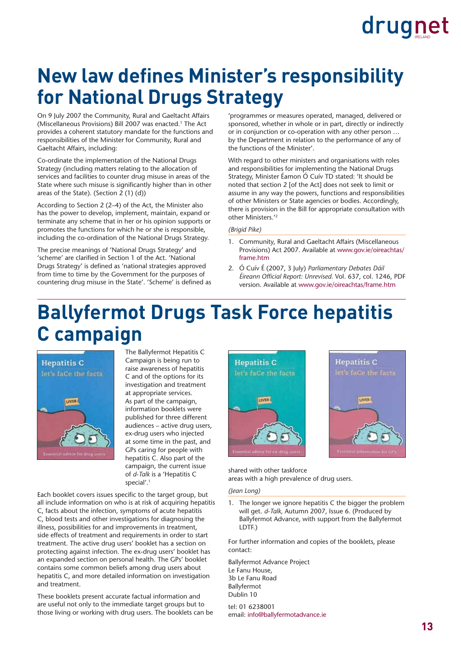### **New law defines Minister's responsibility for National Drugs Strategy**

On 9 July 2007 the Community, Rural and Gaeltacht Affairs (Miscellaneous Provisions) Bill 2007 was enacted.1 The Act provides a coherent statutory mandate for the functions and responsibilities of the Minister for Community, Rural and Gaeltacht Affairs, including:

Co-ordinate the implementation of the National Drugs Strategy (including matters relating to the allocation of services and facilities to counter drug misuse in areas of the State where such misuse is significantly higher than in other areas of the State). (Section 2 (1) (d))

According to Section 2 (2–4) of the Act, the Minister also has the power to develop, implement, maintain, expand or terminate any scheme that in her or his opinion supports or promotes the functions for which he or she is responsible, including the co-ordination of the National Drugs Strategy.

The precise meanings of 'National Drugs Strategy' and 'scheme' are clarified in Section 1 of the Act. 'National Drugs Strategy' is defined as 'national strategies approved from time to time by the Government for the purposes of countering drug misuse in the State'. 'Scheme' is defined as

'programmes or measures operated, managed, delivered or sponsored, whether in whole or in part, directly or indirectly or in conjunction or co-operation with any other person … by the Department in relation to the performance of any of the functions of the Minister'.

With regard to other ministers and organisations with roles and responsibilities for implementing the National Drugs Strategy, Minister Éamon Ó Cuív TD stated: 'It should be noted that section 2 [of the Act] does not seek to limit or assume in any way the powers, functions and responsibilities of other Ministers or State agencies or bodies. Accordingly, there is provision in the Bill for appropriate consultation with other Ministers.'2

*(Brigid Pike)* 

- 1. Community, Rural and Gaeltacht Affairs (Miscellaneous Provisions) Act 2007. Available at www.gov.ie/oireachtas/ frame.htm
- 2. Ó Cuív É (2007, 3 July) *Parliamentary Debates Dáil Éireann Offi cial Report: Unrevised.* Vol. 637, col. 1246, PDF version. Available at www.gov.ie/oireachtas/frame.htm

### **Ballyfermot Drugs Task Force hepatitis C campaign**



The Ballyfermot Hepatitis C Campaign is being run to raise awareness of hepatitis C and of the options for its investigation and treatment at appropriate services. As part of the campaign, information booklets were published for three different audiences – active drug users, ex-drug users who injected at some time in the past, and GPs caring for people with hepatitis C. Also part of the campaign, the current issue of *d-Talk* is a 'Hepatitis C special'.1

Each booklet covers issues specific to the target group, but all include information on who is at risk of acquiring hepatitis C, facts about the infection, symptoms of acute hepatitis C, blood tests and other investigations for diagnosing the illness, possibilities for and improvements in treatment, side effects of treatment and requirements in order to start treatment. The active drug users' booklet has a section on protecting against infection. The ex-drug users' booklet has an expanded section on personal health. The GPs' booklet contains some common beliefs among drug users about hepatitis C, and more detailed information on investigation and treatment.

These booklets present accurate factual information and are useful not only to the immediate target groups but to those living or working with drug users. The booklets can be





shared with other taskforce areas with a high prevalence of drug users.

*(Jean Long)* 

1. The longer we ignore hepatitis C the bigger the problem will get. *d-Talk,* Autumn 2007, Issue 6. (Produced by Ballyfermot Advance, with support from the Ballyfermot LDTF.)

For further information and copies of the booklets, please contact:

Ballyfermot Advance Project Le Fanu House, 3b Le Fanu Road Ballyfermot Dublin 10

tel: 01 6238001 email: info@ballyfermotadvance.ie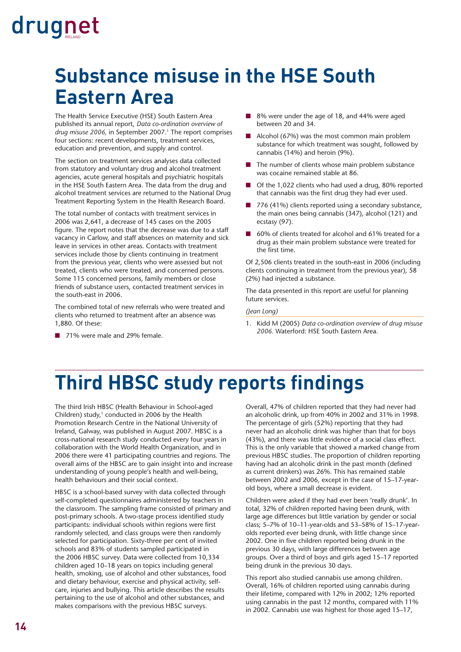### **Substance misuse in the HSE South Eastern Area**

The Health Service Executive (HSE) South Eastern Area published its annual report, *Data co-ordination overview of drug misuse 2006,* in September 2007.<sup>1</sup> The report comprises four sections: recent developments, treatment services, education and prevention, and supply and control.

The section on treatment services analyses data collected from statutory and voluntary drug and alcohol treatment agencies, acute general hospitals and psychiatric hospitals in the HSE South Eastern Area. The data from the drug and alcohol treatment services are returned to the National Drug Treatment Reporting System in the Health Research Board.

The total number of contacts with treatment services in 2006 was 2,641, a decrease of 145 cases on the 2005 figure. The report notes that the decrease was due to a staff vacancy in Carlow, and staff absences on maternity and sick leave in services in other areas. Contacts with treatment services include those by clients continuing in treatment from the previous year, clients who were assessed but not treated, clients who were treated, and concerned persons. Some 115 concerned persons, family members or close friends of substance users, contacted treatment services in the south-east in 2006.

The combined total of new referrals who were treated and clients who returned to treatment after an absence was 1,880. Of these:

■ 71% were male and 29% female.

- 8% were under the age of 18, and 44% were aged between 20 and 34.
- Alcohol (67%) was the most common main problem substance for which treatment was sought, followed by cannabis (14%) and heroin (9%).
- The number of clients whose main problem substance was cocaine remained stable at 86.
- Of the 1,022 clients who had used a drug, 80% reported that cannabis was the first drug they had ever used.
- 776 (41%) clients reported using a secondary substance, the main ones being cannabis (347), alcohol (121) and ecstasy (97).
- 60% of clients treated for alcohol and 61% treated for a drug as their main problem substance were treated for the first time.

Of 2,506 clients treated in the south-east in 2006 (including clients continuing in treatment from the previous year), 58 (2%) had injected a substance.

The data presented in this report are useful for planning future services.

*(Jean Long)*

1. Kidd M (2005) *Data co-ordination overview of drug misuse 2006.* Waterford: HSE South Eastern Area.

### **Third HBSC study reports findings**

The third Irish HBSC (Health Behaviour in School-aged Children) study, $1$  conducted in 2006 by the Health Promotion Research Centre in the National University of Ireland, Galway, was published in August 2007. HBSC is a cross-national research study conducted every four years in collaboration with the World Health Organization, and in 2006 there were 41 participating countries and regions. The overall aims of the HBSC are to gain insight into and increase understanding of young people's health and well-being, health behaviours and their social context.

HBSC is a school-based survey with data collected through self-completed questionnaires administered by teachers in the classroom. The sampling frame consisted of primary and post-primary schools. A two-stage process identified study participants: individual schools within regions were first randomly selected, and class groups were then randomly selected for participation. Sixty-three per cent of invited schools and 83% of students sampled participated in the 2006 HBSC survey. Data were collected from 10,334 children aged 10–18 years on topics including general health, smoking, use of alcohol and other substances, food and dietary behaviour, exercise and physical activity, selfcare, injuries and bullying. This article describes the results pertaining to the use of alcohol and other substances, and makes comparisons with the previous HBSC surveys.

Overall, 47% of children reported that they had never had an alcoholic drink, up from 40% in 2002 and 31% in 1998. The percentage of girls (52%) reporting that they had never had an alcoholic drink was higher than that for boys (43%), and there was little evidence of a social class effect. This is the only variable that showed a marked change from previous HBSC studies. The proportion of children reporting having had an alcoholic drink in the past month (defined as current drinkers) was 26%. This has remained stable between 2002 and 2006, except in the case of 15–17-yearold boys, where a small decrease is evident.

Children were asked if they had ever been 'really drunk'. In total, 32% of children reported having been drunk, with large age differences but little variation by gender or social class; 5–7% of 10–11-year-olds and 53–58% of 15–17-yearolds reported ever being drunk, with little change since 2002. One in five children reported being drunk in the previous 30 days, with large differences between age groups. Over a third of boys and girls aged 15–17 reported being drunk in the previous 30 days.

This report also studied cannabis use among children. Overall, 16% of children reported using cannabis during their lifetime, compared with 12% in 2002; 12% reported using cannabis in the past 12 months, compared with 11% in 2002. Cannabis use was highest for those aged 15–17,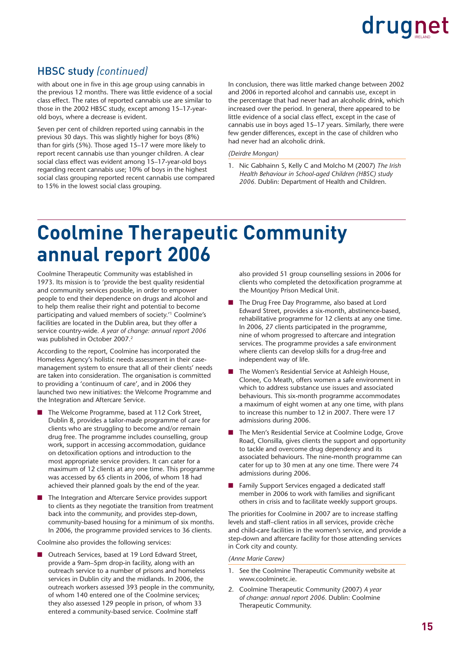#### HBSC study *(continued)*

with about one in five in this age group using cannabis in the previous 12 months. There was little evidence of a social class effect. The rates of reported cannabis use are similar to those in the 2002 HBSC study, except among 15–17-yearold boys, where a decrease is evident.

Seven per cent of children reported using cannabis in the previous 30 days. This was slightly higher for boys (8%) than for girls (5%). Those aged 15–17 were more likely to report recent cannabis use than younger children. A clear social class effect was evident among 15–17-year-old boys regarding recent cannabis use; 10% of boys in the highest social class grouping reported recent cannabis use compared to 15% in the lowest social class grouping.

In conclusion, there was little marked change between 2002 and 2006 in reported alcohol and cannabis use, except in the percentage that had never had an alcoholic drink, which increased over the period. In general, there appeared to be little evidence of a social class effect, except in the case of cannabis use in boys aged 15–17 years. Similarly, there were few gender differences, except in the case of children who had never had an alcoholic drink.

#### *(Deirdre Mongan)*

1. Nic Gabhainn S, Kelly C and Molcho M (2007) *The Irish Health Behaviour in School-aged Children (HBSC) study 2006.* Dublin: Department of Health and Children.

### **Coolmine Therapeutic Community annual report 2006**

Coolmine Therapeutic Community was established in 1973. Its mission is to 'provide the best quality residential and community services possible, in order to empower people to end their dependence on drugs and alcohol and to help them realise their right and potential to become participating and valued members of society.'1 Coolmine's facilities are located in the Dublin area, but they offer a service country-wide. *A year of change: annual report 2006* was published in October 2007.2

According to the report, Coolmine has incorporated the Homeless Agency's holistic needs assessment in their casemanagement system to ensure that all of their clients' needs are taken into consideration. The organisation is committed to providing a 'continuum of care', and in 2006 they launched two new initiatives: the Welcome Programme and the Integration and Aftercare Service.

- The Welcome Programme, based at 112 Cork Street, Dublin 8, provides a tailor-made programme of care for clients who are struggling to become and/or remain drug free. The programme includes counselling, group work, support in accessing accommodation, guidance on detoxification options and introduction to the most appropriate service providers. It can cater for a maximum of 12 clients at any one time. This programme was accessed by 65 clients in 2006, of whom 18 had achieved their planned goals by the end of the year.
- The Integration and Aftercare Service provides support to clients as they negotiate the transition from treatment back into the community, and provides step-down, community-based housing for a minimum of six months. In 2006, the programme provided services to 36 clients.

Coolmine also provides the following services:

Outreach Services, based at 19 Lord Edward Street, provide a 9am–5pm drop-in facility, along with an outreach service to a number of prisons and homeless services in Dublin city and the midlands. In 2006, the outreach workers assessed 393 people in the community, of whom 140 entered one of the Coolmine services; they also assessed 129 people in prison, of whom 33 entered a community-based service. Coolmine staff

also provided 51 group counselling sessions in 2006 for clients who completed the detoxification programme at the Mountjoy Prison Medical Unit.

- The Drug Free Day Programme, also based at Lord Edward Street, provides a six-month, abstinence-based, rehabilitative programme for 12 clients at any one time. In 2006, 27 clients participated in the programme, nine of whom progressed to aftercare and integration services. The programme provides a safe environment where clients can develop skills for a drug-free and independent way of life.
- The Women's Residential Service at Ashleigh House, Clonee, Co Meath, offers women a safe environment in which to address substance use issues and associated behaviours. This six-month programme accommodates a maximum of eight women at any one time, with plans to increase this number to 12 in 2007. There were 17 admissions during 2006.
- The Men's Residential Service at Coolmine Lodge, Grove Road, Clonsilla, gives clients the support and opportunity to tackle and overcome drug dependency and its associated behaviours. The nine-month programme can cater for up to 30 men at any one time. There were 74 admissions during 2006.
- Family Support Services engaged a dedicated staff member in 2006 to work with families and significant others in crisis and to facilitate weekly support groups.

The priorities for Coolmine in 2007 are to increase staffing levels and staff–client ratios in all services, provide crèche and child-care facilities in the women's service, and provide a step-down and aftercare facility for those attending services in Cork city and county.

#### *(Anne Marie Carew)*

- 1. See the Coolmine Therapeutic Community website at www.coolminetc.ie.
- 2. Coolmine Therapeutic Community (2007) *A year of change: annual report 2006.* Dublin: Coolmine Therapeutic Community.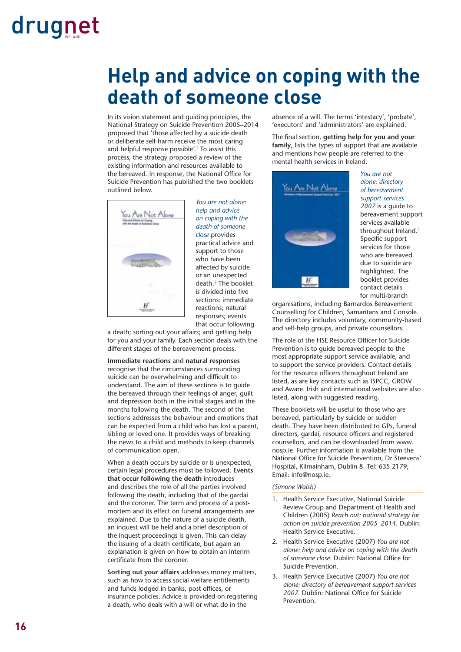### **Help and advice on coping with the death of someone close**

In its vision statement and guiding principles, the National Strategy on Suicide Prevention 2005–2014 proposed that 'those affected by a suicide death or deliberate self-harm receive the most caring and helpful response possible'.1 To assist this process, the strategy proposed a review of the existing information and resources available to the bereaved. In response, the National Office for Suicide Prevention has published the two booklets outlined below.



*You are not alone: help and advice on coping with the death of someone close* provides practical advice and support to those who have been affected by suicide or an unexpected death.2 The booklet is divided into five sections: immediate reactions; natural responses; events that occur following

a death; sorting out your affairs; and getting help for you and your family. Each section deals with the different stages of the bereavement process.

**Immediate reactions** and **natural responses** recognise that the circumstances surrounding suicide can be overwhelming and difficult to understand. The aim of these sections is to guide the bereaved through their feelings of anger, guilt and depression both in the initial stages and in the months following the death. The second of the sections addresses the behaviour and emotions that can be expected from a child who has lost a parent, sibling or loved one. It provides ways of breaking the news to a child and methods to keep channels of communication open.

When a death occurs by suicide or is unexpected, certain legal procedures must be followed. **Events that occur following the death** introduces and describes the role of all the parties involved following the death, including that of the gardai and the coroner. The term and process of a postmortem and its effect on funeral arrangements are explained. Due to the nature of a suicide death, an inquest will be held and a brief description of the inquest proceedings is given. This can delay the issuing of a death certificate, but again an explanation is given on how to obtain an interim certificate from the coroner.

**Sorting out your affairs** addresses money matters, such as how to access social welfare entitlements and funds lodged in banks, post offices, or insurance policies. Advice is provided on registering a death, who deals with a will or what do in the

absence of a will. The terms 'intestacy', 'probate', 'executors' and 'administrators' are explained.

The final section, **getting help for you and your family**, lists the types of support that are available and mentions how people are referred to the mental health services in Ireland.



*You are not alone: directory of bereavement support services 2007* is a guide to bereavement support services available throughout Ireland.<sup>3</sup> Specific support services for those who are bereaved due to suicide are highlighted. The booklet provides contact details for multi-branch

organisations, including Barnardos Bereavement Counselling for Children, Samaritans and Console. The directory includes voluntary, community-based and self-help groups, and private counsellors.

The role of the HSE Resource Officer for Suicide Prevention is to guide bereaved people to the most appropriate support service available, and to support the service providers. Contact details for the resource officers throughout Ireland are listed, as are key contacts such as ISPCC, GROW and Aware. Irish and international websites are also listed, along with suggested reading.

These booklets will be useful to those who are bereaved, particularly by suicide or sudden death. They have been distributed to GPs, funeral directors, gardaí, resource officers and registered counsellors, and can be downloaded from www. nosp.ie. Further information is available from the National Office for Suicide Prevention, Dr Steevens' Hospital, Kilmainham, Dublin 8. Tel: 635 2179; Email: info@nosp.ie.

*(Simone Walsh)* 

- 1. Health Service Executive, National Suicide Review Group and Department of Health and Children (2005) *Reach out: national strategy for action on suicide prevention 2005–2014.* Dublin: Health Service Executive.
- 2. Health Service Executive (2007) *You are not alone: help and advice on coping with the death*  of someone close. Dublin: National Office for Suicide Prevention.
- 3. Health Service Executive (2007) *You are not alone: directory of bereavement support services*  2007. Dublin: National Office for Suicide **Prevention**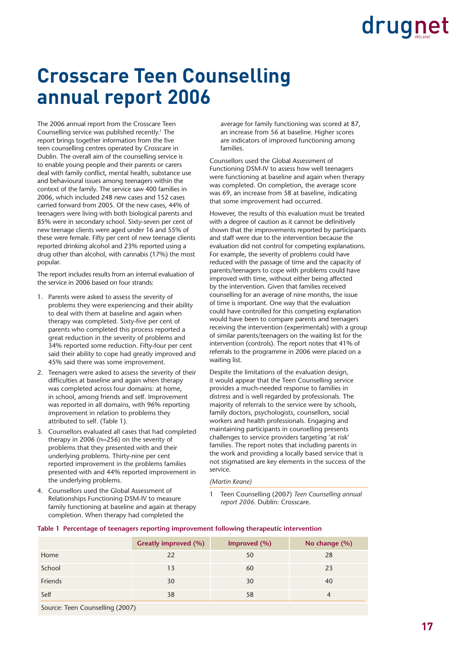### **Crosscare Teen Counselling annual report 2006**

The 2006 annual report from the Crosscare Teen Counselling service was published recently.1 The report brings together information from the five teen counselling centres operated by Crosscare in Dublin. The overall aim of the counselling service is to enable young people and their parents or carers deal with family conflict, mental health, substance use and behavioural issues among teenagers within the context of the family. The service saw 400 families in 2006, which included 248 new cases and 152 cases carried forward from 2005. Of the new cases, 44% of teenagers were living with both biological parents and 85% were in secondary school. Sixty-seven per cent of new teenage clients were aged under 16 and 55% of these were female. Fifty per cent of new teenage clients reported drinking alcohol and 23% reported using a drug other than alcohol, with cannabis (17%) the most popular.

The report includes results from an internal evaluation of the service in 2006 based on four strands:

- 1. Parents were asked to assess the severity of problems they were experiencing and their ability to deal with them at baseline and again when therapy was completed. Sixty-five per cent of parents who completed this process reported a great reduction in the severity of problems and 34% reported some reduction. Fifty-four per cent said their ability to cope had greatly improved and 45% said there was some improvement.
- 2. Teenagers were asked to assess the severity of their difficulties at baseline and again when therapy was completed across four domains: at home, in school, among friends and self. Improvement was reported in all domains, with 96% reporting improvement in relation to problems they attributed to self. (Table 1).
- 3. Counsellors evaluated all cases that had completed therapy in 2006 (n=256) on the severity of problems that they presented with and their underlying problems. Thirty-nine per cent reported improvement in the problems families presented with and 44% reported improvement in the underlying problems.
- 4. Counsellors used the Global Assessment of Relationships Functioning DSM-IV to measure family functioning at baseline and again at therapy completion. When therapy had completed the

average for family functioning was scored at 87, an increase from 56 at baseline. Higher scores are indicators of improved functioning among families.

Counsellors used the Global Assessment of Functioning DSM-IV to assess how well teenagers were functioning at baseline and again when therapy was completed. On completion, the average score was 69, an increase from 58 at baseline, indicating that some improvement had occurred.

However, the results of this evaluation must be treated with a degree of caution as it cannot be definitively shown that the improvements reported by participants and staff were due to the intervention because the evaluation did not control for competing explanations. For example, the severity of problems could have reduced with the passage of time and the capacity of parents/teenagers to cope with problems could have improved with time, without either being affected by the intervention. Given that families received counselling for an average of nine months, the issue of time is important. One way that the evaluation could have controlled for this competing explanation would have been to compare parents and teenagers receiving the intervention (experimentals) with a group of similar parents/teenagers on the waiting list for the intervention (controls). The report notes that 41% of referrals to the programme in 2006 were placed on a waiting list.

Despite the limitations of the evaluation design, it would appear that the Teen Counselling service provides a much-needed response to families in distress and is well regarded by professionals. The majority of referrals to the service were by schools, family doctors, psychologists, counsellors, social workers and health professionals. Engaging and maintaining participants in counselling presents challenges to service providers targeting 'at risk' families. The report notes that including parents in the work and providing a locally based service that is not stigmatised are key elements in the success of the service.

*(Martin Keane)* 

1 Teen Counselling (2007) *Teen Counselling annual report 2006.* Dublin: Crosscare.

|                                 | <b>Greatly improved (%)</b> | Improved (%) | No change (%) |
|---------------------------------|-----------------------------|--------------|---------------|
| Home                            | 22                          | 50           | 28            |
| School                          | 13                          | 60           | 23            |
| Friends                         | 30                          | 30           | 40            |
| Self                            | 38                          | 58           | 4             |
| Source: Teen Counselling (2007) |                             |              |               |

#### **Table 1 Percentage of teenagers reporting improvement following therapeutic intervention**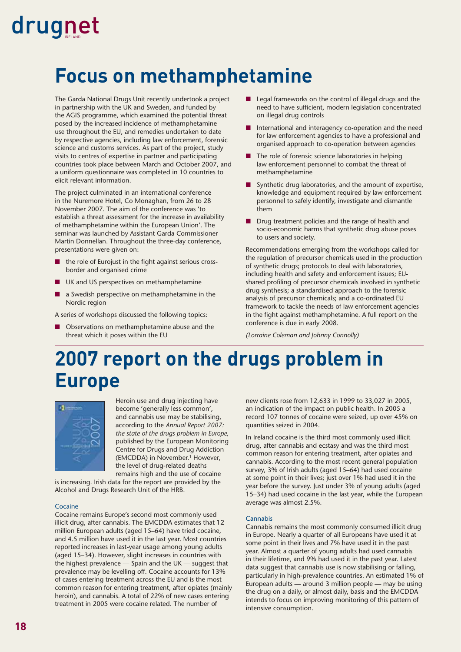### **Focus on methamphetamine**

The Garda National Drugs Unit recently undertook a project in partnership with the UK and Sweden, and funded by the AGIS programme, which examined the potential threat posed by the increased incidence of methamphetamine use throughout the EU, and remedies undertaken to date by respective agencies, including law enforcement, forensic science and customs services. As part of the project, study visits to centres of expertise in partner and participating countries took place between March and October 2007, and a uniform questionnaire was completed in 10 countries to elicit relevant information.

The project culminated in an international conference in the Nuremore Hotel, Co Monaghan, from 26 to 28 November 2007. The aim of the conference was 'to establish a threat assessment for the increase in availability of methamphetamine within the European Union'. The seminar was launched by Assistant Garda Commissioner Martin Donnellan. Throughout the three-day conference, presentations were given on:

- the role of Eurojust in the fight against serious crossborder and organised crime
- UK and US perspectives on methamphetamine
- a Swedish perspective on methamphetamine in the Nordic region

A series of workshops discussed the following topics:

■ Observations on methamphetamine abuse and the threat which it poses within the EU

- Legal frameworks on the control of illegal drugs and the need to have sufficient, modern legislation concentrated on illegal drug controls
- International and interagency co-operation and the need for law enforcement agencies to have a professional and organised approach to co-operation between agencies
- The role of forensic science laboratories in helping law enforcement personnel to combat the threat of methamphetamine
- Synthetic drug laboratories, and the amount of expertise, knowledge and equipment required by law enforcement personnel to safely identify, investigate and dismantle them
- Drug treatment policies and the range of health and socio-economic harms that synthetic drug abuse poses to users and society.

Recommendations emerging from the workshops called for the regulation of precursor chemicals used in the production of synthetic drugs; protocols to deal with laboratories, including health and safety and enforcement issues; EUshared profiling of precursor chemicals involved in synthetic drug synthesis; a standardised approach to the forensic analysis of precursor chemicals; and a co-ordinated EU framework to tackle the needs of law enforcement agencies in the fight against methamphetamine. A full report on the conference is due in early 2008.

*(Lorraine Coleman and Johnny Connolly)*

### **2007 report on the drugs problem in Europe**



Heroin use and drug injecting have become 'generally less common', and cannabis use may be stabilising, according to the *Annual Report 2007: the state of the drugs problem in Europe,* published by the European Monitoring Centre for Drugs and Drug Addiction (EMCDDA) in November.<sup>1</sup> However, the level of drug-related deaths remains high and the use of cocaine

is increasing. Irish data for the report are provided by the Alcohol and Drugs Research Unit of the HRB.

#### **Cocaine**

Cocaine remains Europe's second most commonly used illicit drug, after cannabis. The EMCDDA estimates that 12 million European adults (aged 15–64) have tried cocaine, and 4.5 million have used it in the last year. Most countries reported increases in last-year usage among young adults (aged 15–34). However, slight increases in countries with the highest prevalence — Spain and the UK — suggest that prevalence may be levelling off. Cocaine accounts for 13% of cases entering treatment across the EU and is the most common reason for entering treatment, after opiates (mainly heroin), and cannabis. A total of 22% of new cases entering treatment in 2005 were cocaine related. The number of

new clients rose from 12,633 in 1999 to 33,027 in 2005, an indication of the impact on public health. In 2005 a record 107 tonnes of cocaine were seized, up over 45% on quantities seized in 2004.

In Ireland cocaine is the third most commonly used illicit drug, after cannabis and ecstasy and was the third most common reason for entering treatment, after opiates and cannabis. According to the most recent general population survey, 3% of Irish adults (aged 15–64) had used cocaine at some point in their lives; just over 1% had used it in the year before the survey. Just under 3% of young adults (aged 15–34) had used cocaine in the last year, while the European average was almost 2.5%.

#### **Cannabis**

Cannabis remains the most commonly consumed illicit drug in Europe. Nearly a quarter of all Europeans have used it at some point in their lives and 7% have used it in the past year. Almost a quarter of young adults had used cannabis in their lifetime, and 9% had used it in the past year. Latest data suggest that cannabis use is now stabilising or falling. particularly in high-prevalence countries. An estimated 1% of European adults — around 3 million people — may be using the drug on a daily, or almost daily, basis and the EMCDDA intends to focus on improving monitoring of this pattern of intensive consumption.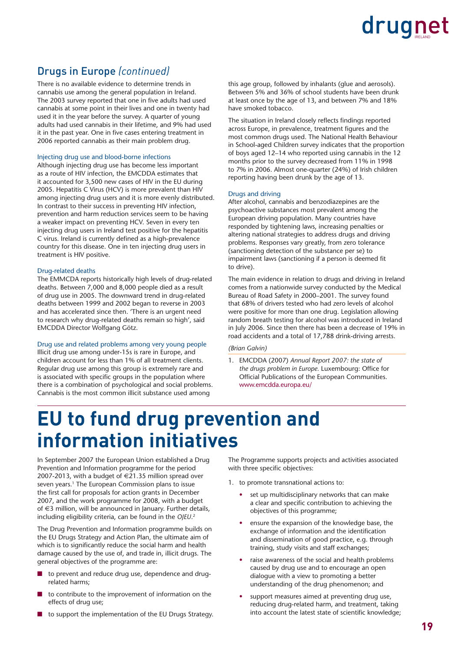#### Drugs in Europe *(continued)*

There is no available evidence to determine trends in cannabis use among the general population in Ireland. The 2003 survey reported that one in five adults had used cannabis at some point in their lives and one in twenty had used it in the year before the survey. A quarter of young adults had used cannabis in their lifetime, and 9% had used it in the past year. One in five cases entering treatment in 2006 reported cannabis as their main problem drug.

#### Injecting drug use and blood-borne infections

Although injecting drug use has become less important as a route of HIV infection, the EMCDDA estimates that it accounted for 3,500 new cases of HIV in the EU during 2005. Hepatitis C Virus (HCV) is more prevalent than HIV among injecting drug users and it is more evenly distributed. In contrast to their success in preventing HIV infection, prevention and harm reduction services seem to be having a weaker impact on preventing HCV. Seven in every ten injecting drug users in Ireland test positive for the hepatitis C virus. Ireland is currently defined as a high-prevalence country for this disease. One in ten injecting drug users in treatment is HIV positive.

#### Drug-related deaths

The EMMCDA reports historically high levels of drug-related deaths. Between 7,000 and 8,000 people died as a result of drug use in 2005. The downward trend in drug-related deaths between 1999 and 2002 began to reverse in 2003 and has accelerated since then. 'There is an urgent need to research why drug-related deaths remain so high', said EMCDDA Director Wolfgang Götz.

#### Drug use and related problems among very young people

Illicit drug use among under-15s is rare in Europe, and children account for less than 1% of all treatment clients. Regular drug use among this group is extremely rare and is associated with specific groups in the population where there is a combination of psychological and social problems. Cannabis is the most common illicit substance used among

this age group, followed by inhalants (glue and aerosols). Between 5% and 36% of school students have been drunk at least once by the age of 13, and between 7% and 18% have smoked tobacco.

The situation in Ireland closely reflects findings reported across Europe, in prevalence, treatment figures and the most common drugs used. The National Health Behaviour in School-aged Children survey indicates that the proportion of boys aged 12–14 who reported using cannabis in the 12 months prior to the survey decreased from 11% in 1998 to 7% in 2006. Almost one-quarter (24%) of Irish children reporting having been drunk by the age of 13.

#### Drugs and driving

After alcohol, cannabis and benzodiazepines are the psychoactive substances most prevalent among the European driving population. Many countries have responded by tightening laws, increasing penalties or altering national strategies to address drugs and driving problems. Responses vary greatly, from zero tolerance (sanctioning detection of the substance per se) to impairment laws (sanctioning if a person is deemed fit to drive).

The main evidence in relation to drugs and driving in Ireland comes from a nationwide survey conducted by the Medical Bureau of Road Safety in 2000–2001. The survey found that 68% of drivers tested who had zero levels of alcohol were positive for more than one drug. Legislation allowing random breath testing for alcohol was introduced in Ireland in July 2006. Since then there has been a decrease of 19% in road accidents and a total of 17,788 drink-driving arrests.

#### *(Brian Galvin)*

1. EMCDDA (2007) *Annual Report 2007: the state of*  the drugs problem in Europe. Luxembourg: Office for Official Publications of the European Communities. www.emcdda.europa.eu/

### **EU to fund drug prevention and information initiatives**

In September 2007 the European Union established a Drug Prevention and Information programme for the period 2007-2013, with a budget of  $\in$ 21.35 million spread over seven years.<sup>1</sup> The European Commission plans to issue the first call for proposals for action grants in December 2007, and the work programme for 2008, with a budget of €3 million, will be announced in January. Further details, including eligibility criteria, can be found in the *OJEU*. 2

The Drug Prevention and Information programme builds on the EU Drugs Strategy and Action Plan, the ultimate aim of which is to significantly reduce the social harm and health damage caused by the use of, and trade in, illicit drugs. The general objectives of the programme are:

- to prevent and reduce drug use, dependence and drugrelated harms;
- to contribute to the improvement of information on the effects of drug use;
- to support the implementation of the EU Drugs Strategy.

The Programme supports projects and activities associated with three specific objectives:

- 1. to promote transnational actions to:
	- set up multidisciplinary networks that can make a clear and specific contribution to achieving the objectives of this programme;
	- ensure the expansion of the knowledge base, the exchange of information and the identification and dissemination of good practice, e.g. through training, study visits and staff exchanges;
	- raise awareness of the social and health problems caused by drug use and to encourage an open dialogue with a view to promoting a better understanding of the drug phenomenon; and
	- support measures aimed at preventing drug use, reducing drug-related harm, and treatment, taking into account the latest state of scientific knowledge;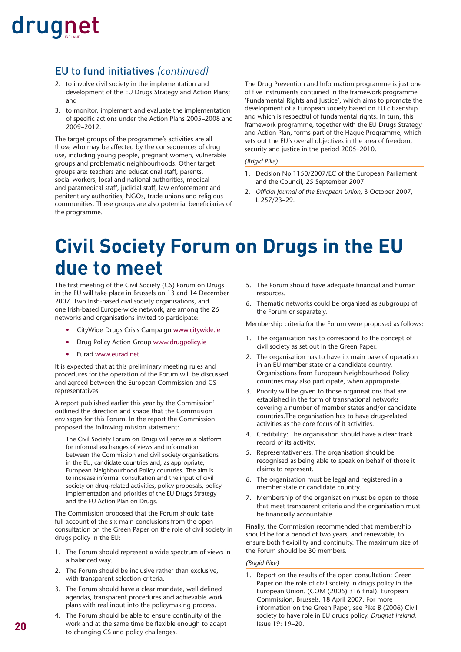#### EU to fund initiatives *(continued)*

- 2. to involve civil society in the implementation and development of the EU Drugs Strategy and Action Plans; and
- 3. to monitor, implement and evaluate the implementation of specific actions under the Action Plans 2005–2008 and 2009–2012.

The target groups of the programme's activities are all those who may be affected by the consequences of drug use, including young people, pregnant women, vulnerable groups and problematic neighbourhoods. Other target groups are: teachers and educational staff, parents, social workers, local and national authorities, medical and paramedical staff, judicial staff, law enforcement and penitentiary authorities, NGOs, trade unions and religious communities. These groups are also potential beneficiaries of the programme.

The Drug Prevention and Information programme is just one of five instruments contained in the framework programme 'Fundamental Rights and Justice', which aims to promote the development of a European society based on EU citizenship and which is respectful of fundamental rights. In turn, this framework programme, together with the EU Drugs Strategy and Action Plan, forms part of the Hague Programme, which sets out the EU's overall objectives in the area of freedom, security and justice in the period 2005–2010.

#### *(Brigid Pike)*

- 1. Decision No 1150/2007/EC of the European Parliament and the Council, 25 September 2007.
- 2. Official Journal of the European Union, 3 October 2007, L 257/23–29.

### **Civil Society Forum on Drugs in the EU due to meet**

The first meeting of the Civil Society (CS) Forum on Drugs in the EU will take place in Brussels on 13 and 14 December 2007. Two Irish-based civil society organisations, and one Irish-based Europe-wide network, are among the 26 networks and organisations invited to participate:

- CityWide Drugs Crisis Campaign www.citywide.ie
- Drug Policy Action Group www.drugpolicy.ie
- Eurad www.eurad.net

It is expected that at this preliminary meeting rules and procedures for the operation of the Forum will be discussed and agreed between the European Commission and CS representatives.

A report published earlier this year by the Commission<sup>1</sup> outlined the direction and shape that the Commission envisages for this Forum. In the report the Commission proposed the following mission statement:

The Civil Society Forum on Drugs will serve as a platform for informal exchanges of views and information between the Commission and civil society organisations in the EU, candidate countries and, as appropriate, European Neighbourhood Policy countries. The aim is to increase informal consultation and the input of civil society on drug-related activities, policy proposals, policy implementation and priorities of the EU Drugs Strategy and the EU Action Plan on Drugs.

The Commission proposed that the Forum should take full account of the six main conclusions from the open consultation on the Green Paper on the role of civil society in drugs policy in the EU:

- 1. The Forum should represent a wide spectrum of views in a balanced way.
- 2. The Forum should be inclusive rather than exclusive, with transparent selection criteria.
- 3. The Forum should have a clear mandate, well defined agendas, transparent procedures and achievable work plans with real input into the policymaking process.
- 4. The Forum should be able to ensure continuity of the work and at the same time be flexible enough to adapt to changing CS and policy challenges.
- 5. The Forum should have adequate financial and human resources.
- 6. Thematic networks could be organised as subgroups of the Forum or separately.

Membership criteria for the Forum were proposed as follows:

- 1. The organisation has to correspond to the concept of civil society as set out in the Green Paper.
- 2. The organisation has to have its main base of operation in an EU member state or a candidate country. Organisations from European Neighbourhood Policy countries may also participate, when appropriate.
- 3. Priority will be given to those organisations that are established in the form of transnational networks covering a number of member states and/or candidate countries.The organisation has to have drug-related activities as the core focus of it activities.
- 4. Credibility: The organisation should have a clear track record of its activity.
- 5. Representativeness: The organisation should be recognised as being able to speak on behalf of those it claims to represent.
- 6. The organisation must be legal and registered in a member state or candidate country.
- 7. Membership of the organisation must be open to those that meet transparent criteria and the organisation must be financially accountable.

Finally, the Commission recommended that membership should be for a period of two years, and renewable, to ensure both flexibility and continuity. The maximum size of the Forum should be 30 members.

#### *(Brigid Pike)*

1. Report on the results of the open consultation: Green Paper on the role of civil society in drugs policy in the European Union. (COM (2006) 316 final). European Commission, Brussels, 18 April 2007. For more information on the Green Paper, see Pike B (2006) Civil society to have role in EU drugs policy. *Drugnet Ireland,* Issue 19: 19–20.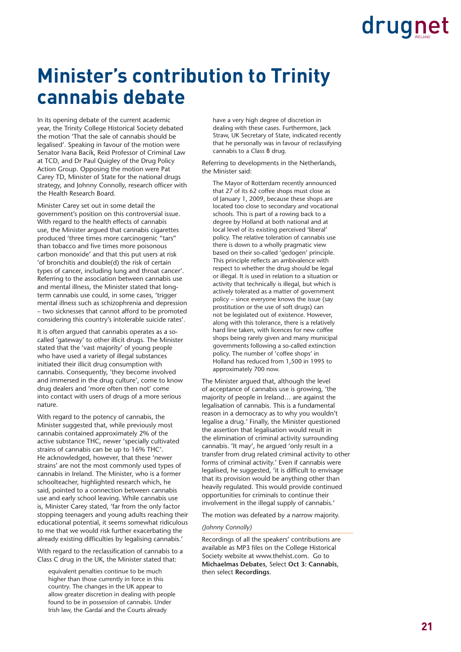### **Minister's contribution to Trinity cannabis debate**

In its opening debate of the current academic year, the Trinity College Historical Society debated the motion 'That the sale of cannabis should be legalised'. Speaking in favour of the motion were Senator Ivana Bacik, Reid Professor of Criminal Law at TCD, and Dr Paul Quigley of the Drug Policy Action Group. Opposing the motion were Pat Carey TD, Minister of State for the national drugs strategy, and Johnny Connolly, research officer with the Health Research Board.

Minister Carey set out in some detail the government's position on this controversial issue. With regard to the health effects of cannabis use, the Minister argued that cannabis cigarettes produced 'three times more carcinogenic "tars" than tobacco and five times more poisonous carbon monoxide' and that this put users at risk 'of bronchitis and double(d) the risk of certain types of cancer, including lung and throat cancer'. Referring to the association between cannabis use and mental illness, the Minister stated that longterm cannabis use could, in some cases, 'trigger mental illness such as schizophrenia and depression – two sicknesses that cannot afford to be promoted considering this country's intolerable suicide rates'.

It is often argued that cannabis operates as a socalled 'gateway' to other illicit drugs. The Minister stated that the 'vast majority' of young people who have used a variety of illegal substances initiated their illicit drug consumption with cannabis. Consequently, 'they become involved and immersed in the drug culture', come to know drug dealers and 'more often then not' come into contact with users of drugs of a more serious nature.

With regard to the potency of cannabis, the Minister suggested that, while previously most cannabis contained approximately 2% of the active substance THC, newer 'specially cultivated strains of cannabis can be up to 16% THC'. He acknowledged, however, that these 'newer strains' are not the most commonly used types of cannabis in Ireland. The Minister, who is a former schoolteacher, highlighted research which, he said, pointed to a connection between cannabis use and early school leaving. While cannabis use is, Minister Carey stated, 'far from the only factor stopping teenagers and young adults reaching their educational potential, it seems somewhat ridiculous to me that we would risk further exacerbating the already existing difficulties by legalising cannabis.'

With regard to the reclassification of cannabis to a Class C drug in the UK, the Minister stated that:

equivalent penalties continue to be much higher than those currently in force in this country. The changes in the UK appear to allow greater discretion in dealing with people found to be in possession of cannabis. Under Irish law, the Gardaí and the Courts already

have a very high degree of discretion in dealing with these cases. Furthermore, Jack Straw, UK Secretary of State, indicated recently that he personally was in favour of reclassifying cannabis to a Class B drug.

Referring to developments in the Netherlands, the Minister said:

The Mayor of Rotterdam recently announced that 27 of its 62 coffee shops must close as of January 1, 2009, because these shops are located too close to secondary and vocational schools. This is part of a rowing back to a degree by Holland at both national and at local level of its existing perceived 'liberal' policy. The relative toleration of cannabis use there is down to a wholly pragmatic view based on their so-called 'gedogen' principle. This principle reflects an ambivalence with respect to whether the drug should be legal or illegal. It is used in relation to a situation or activity that technically is illegal, but which is actively tolerated as a matter of government policy – since everyone knows the issue (say prostitution or the use of soft drugs) can not be legislated out of existence. However, along with this tolerance, there is a relatively hard line taken, with licences for new coffee shops being rarely given and many municipal governments following a so-called extinction policy. The number of 'coffee shops' in Holland has reduced from 1,500 in 1995 to approximately 700 now.

The Minister argued that, although the level of acceptance of cannabis use is growing, 'the majority of people in Ireland… are against the legalisation of cannabis. This is a fundamental reason in a democracy as to why you wouldn't legalise a drug.' Finally, the Minister questioned the assertion that legalisation would result in the elimination of criminal activity surrounding cannabis. 'It may', he argued 'only result in a transfer from drug related criminal activity to other forms of criminal activity.' Even if cannabis were legalised, he suggested, 'it is difficult to envisage that its provision would be anything other than heavily regulated. This would provide continued opportunities for criminals to continue their involvement in the illegal supply of cannabis.'

The motion was defeated by a narrow majority.

#### *(Johnny Connolly)*

Recordings of all the speakers' contributions are available as MP3 files on the College Historical Society website at www.thehist.com. Go to **Michaelmas Debates**, Select **Oct 3: Cannabis**, then select **Recordings**.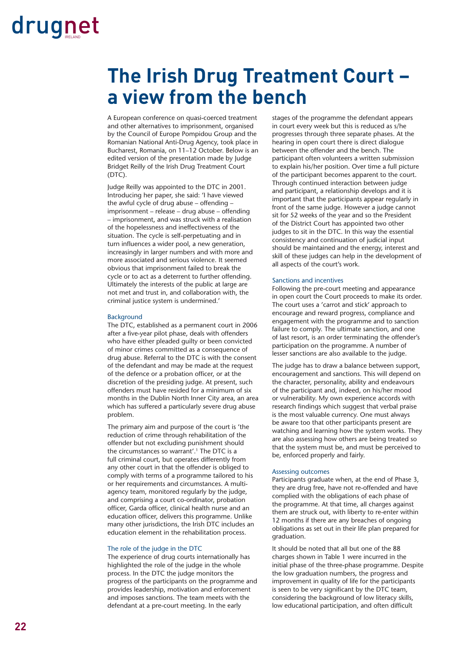### **The Irish Drug Treatment Court – a view from the bench**

A European conference on quasi-coerced treatment and other alternatives to imprisonment, organised by the Council of Europe Pompidou Group and the Romanian National Anti-Drug Agency, took place in Bucharest, Romania, on 11–12 October. Below is an edited version of the presentation made by Judge Bridget Reilly of the Irish Drug Treatment Court (DTC).

Judge Reilly was appointed to the DTC in 2001. Introducing her paper, she said: 'I have viewed the awful cycle of drug abuse – offending – imprisonment – release – drug abuse – offending – imprisonment, and was struck with a realisation of the hopelessness and ineffectiveness of the situation. The cycle is self-perpetuating and in turn influences a wider pool, a new generation, increasingly in larger numbers and with more and more associated and serious violence. It seemed obvious that imprisonment failed to break the cycle or to act as a deterrent to further offending. Ultimately the interests of the public at large are not met and trust in, and collaboration with, the criminal justice system is undermined.'

#### Background

The DTC, established as a permanent court in 2006 after a five-year pilot phase, deals with offenders who have either pleaded guilty or been convicted of minor crimes committed as a consequence of drug abuse. Referral to the DTC is with the consent of the defendant and may be made at the request of the defence or a probation officer, or at the discretion of the presiding judge. At present, such offenders must have resided for a minimum of six months in the Dublin North Inner City area, an area which has suffered a particularly severe drug abuse problem.

The primary aim and purpose of the court is 'the reduction of crime through rehabilitation of the offender but not excluding punishment should the circumstances so warrant'.1 The DTC is a full criminal court, but operates differently from any other court in that the offender is obliged to comply with terms of a programme tailored to his or her requirements and circumstances. A multiagency team, monitored regularly by the judge, and comprising a court co-ordinator, probation officer, Garda officer, clinical health nurse and an education officer, delivers this programme. Unlike many other jurisdictions, the Irish DTC includes an education element in the rehabilitation process.

#### The role of the judge in the DTC

The experience of drug courts internationally has highlighted the role of the judge in the whole process. In the DTC the judge monitors the progress of the participants on the programme and provides leadership, motivation and enforcement and imposes sanctions. The team meets with the defendant at a pre-court meeting. In the early

stages of the programme the defendant appears in court every week but this is reduced as s/he progresses through three separate phases. At the hearing in open court there is direct dialogue between the offender and the bench. The participant often volunteers a written submission to explain his/her position. Over time a full picture of the participant becomes apparent to the court. Through continued interaction between judge and participant, a relationship develops and it is important that the participants appear regularly in front of the same judge. However a judge cannot sit for 52 weeks of the year and so the President of the District Court has appointed two other judges to sit in the DTC. In this way the essential consistency and continuation of judicial input should be maintained and the energy, interest and skill of these judges can help in the development of all aspects of the court's work.

#### Sanctions and incentives

Following the pre-court meeting and appearance in open court the Court proceeds to make its order. The court uses a 'carrot and stick' approach to encourage and reward progress, compliance and engagement with the programme and to sanction failure to comply. The ultimate sanction, and one of last resort, is an order terminating the offender's participation on the programme. A number of lesser sanctions are also available to the judge.

The judge has to draw a balance between support, encouragement and sanctions. This will depend on the character, personality, ability and endeavours of the participant and, indeed, on his/her mood or vulnerability. My own experience accords with research findings which suggest that verbal praise is the most valuable currency. One must always be aware too that other participants present are watching and learning how the system works. They are also assessing how others are being treated so that the system must be, and must be perceived to be, enforced properly and fairly.

#### Assessing outcomes

Participants graduate when, at the end of Phase 3, they are drug free, have not re-offended and have complied with the obligations of each phase of the programme. At that time, all charges against them are struck out, with liberty to re-enter within 12 months if there are any breaches of ongoing obligations as set out in their life plan prepared for graduation.

It should be noted that all but one of the 88 charges shown in Table 1 were incurred in the initial phase of the three-phase programme. Despite the low graduation numbers, the progress and improvement in quality of life for the participants is seen to be very significant by the DTC team. considering the background of low literacy skills, low educational participation, and often difficult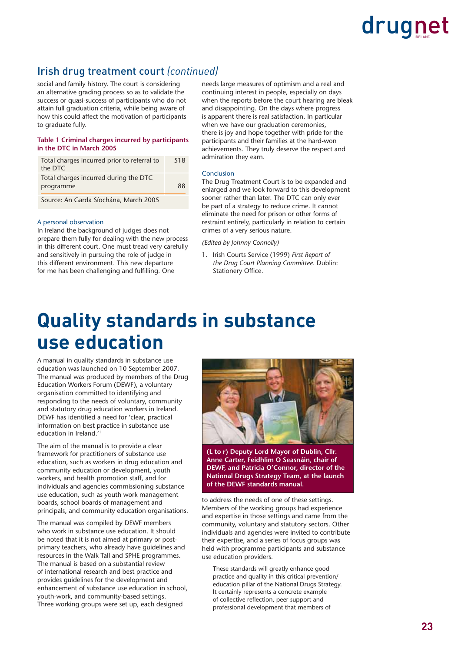#### Irish drug treatment court *(continued)*

social and family history. The court is considering an alternative grading process so as to validate the success or quasi-success of participants who do not attain full graduation criteria, while being aware of how this could affect the motivation of participants to graduate fully.

#### **Table 1 Criminal charges incurred by participants in the DTC in March 2005**

| Total charges incurred prior to referral to | 518 |
|---------------------------------------------|-----|
| the DTC                                     |     |
| Total charges incurred during the DTC       |     |
| programme                                   | 88  |
| Course As Court C'articles Mouth 2005       |     |

Source: An Garda Síochána, March 2005

#### A personal observation

In Ireland the background of judges does not prepare them fully for dealing with the new process in this different court. One must tread very carefully and sensitively in pursuing the role of judge in this different environment. This new departure for me has been challenging and fulfilling. One

needs large measures of optimism and a real and continuing interest in people, especially on days when the reports before the court hearing are bleak and disappointing. On the days where progress is apparent there is real satisfaction. In particular when we have our graduation ceremonies, there is joy and hope together with pride for the participants and their families at the hard-won achievements. They truly deserve the respect and admiration they earn.

#### Conclusion

The Drug Treatment Court is to be expanded and enlarged and we look forward to this development sooner rather than later. The DTC can only ever be part of a strategy to reduce crime. It cannot eliminate the need for prison or other forms of restraint entirely, particularly in relation to certain crimes of a very serious nature.

#### *(Edited by Johnny Connolly)*

1. Irish Courts Service (1999) *First Report of the Drug Court Planning Committee.* Dublin: Stationery Office.

### **Quality standards in substance use education**

A manual in quality standards in substance use education was launched on 10 September 2007. The manual was produced by members of the Drug Education Workers Forum (DEWF), a voluntary organisation committed to identifying and responding to the needs of voluntary, community and statutory drug education workers in Ireland. DEWF has identified a need for 'clear, practical information on best practice in substance use education in Ireland.'1

The aim of the manual is to provide a clear framework for practitioners of substance use education, such as workers in drug education and community education or development, youth workers, and health promotion staff, and for individuals and agencies commissioning substance use education, such as youth work management boards, school boards of management and principals, and community education organisations.

The manual was compiled by DEWF members who work in substance use education. It should be noted that it is not aimed at primary or postprimary teachers, who already have guidelines and resources in the Walk Tall and SPHE programmes. The manual is based on a substantial review of international research and best practice and provides guidelines for the development and enhancement of substance use education in school, youth-work, and community-based settings. Three working groups were set up, each designed



**(L to r) Deputy Lord Mayor of Dublin, Cllr. Anne Carter, Feidhlim O Seasnáin, chair of DEWF, and Patricia O'Connor, director of the National Drugs Strategy Team, at the launch of the DEWF standards manual.** 

to address the needs of one of these settings. Members of the working groups had experience and expertise in those settings and came from the community, voluntary and statutory sectors. Other individuals and agencies were invited to contribute their expertise, and a series of focus groups was held with programme participants and substance use education providers.

These standards will greatly enhance good practice and quality in this critical prevention/ education pillar of the National Drugs Strategy. It certainly represents a concrete example of collective reflection, peer support and professional development that members of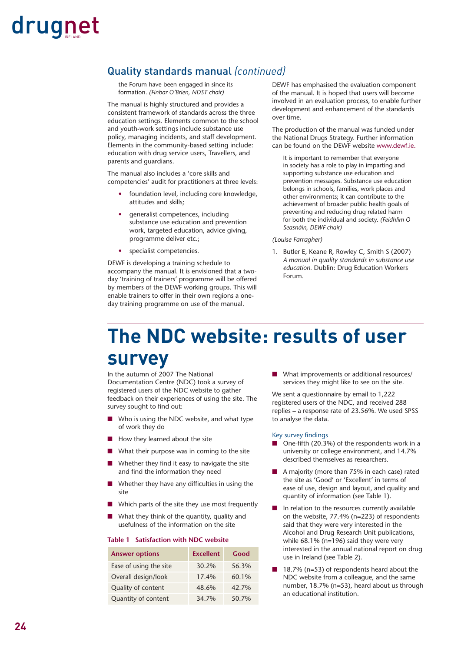#### Quality standards manual *(continued)*

the Forum have been engaged in since its formation. *(Finbar O'Brien, NDST chair)*

The manual is highly structured and provides a consistent framework of standards across the three education settings. Elements common to the school and youth-work settings include substance use policy, managing incidents, and staff development. Elements in the community-based setting include: education with drug service users, Travellers, and parents and guardians.

The manual also includes a 'core skills and competencies' audit for practitioners at three levels:

- foundation level, including core knowledge, attitudes and skills;
- generalist competences, including substance use education and prevention work, targeted education, advice giving, programme deliver etc.;
- specialist competencies.

DEWF is developing a training schedule to accompany the manual. It is envisioned that a twoday 'training of trainers' programme will be offered by members of the DEWF working groups. This will enable trainers to offer in their own regions a oneday training programme on use of the manual.

DEWF has emphasised the evaluation component of the manual. It is hoped that users will become involved in an evaluation process, to enable further development and enhancement of the standards over time.

The production of the manual was funded under the National Drugs Strategy. Further information can be found on the DEWF website www.dewf.ie.

It is important to remember that everyone in society has a role to play in imparting and supporting substance use education and prevention messages. Substance use education belongs in schools, families, work places and other environments; it can contribute to the achievement of broader public health goals of preventing and reducing drug related harm for both the individual and society. *(Feidhlim O Seasnáin, DEWF chair)*

#### *(Louise Farragher)*

1. Butler E, Keane R, Rowley C, Smith S (2007) *A manual in quality standards in substance use education.* Dublin: Drug Education Workers Forum.

### **The NDC website: results of user survey**

In the autumn of 2007 The National Documentation Centre (NDC) took a survey of registered users of the NDC website to gather feedback on their experiences of using the site. The survey sought to find out:

- Who is using the NDC website, and what type of work they do
- How they learned about the site
- What their purpose was in coming to the site
- Whether they find it easy to navigate the site and find the information they need
- Whether they have any difficulties in using the site
- Which parts of the site they use most frequently
- What they think of the quantity, quality and usefulness of the information on the site

#### **Table 1 Satisfaction with NDC website**

| <b>Answer options</b>  | <b>Excellent</b> | Good  |
|------------------------|------------------|-------|
| Ease of using the site | 30.2%            | 56.3% |
| Overall design/look    | 17.4%            | 60.1% |
| Quality of content     | 48.6%            | 42.7% |
| Quantity of content    | 34.7%            | 50.7% |

■ What improvements or additional resources/ services they might like to see on the site.

We sent a questionnaire by email to 1,222 registered users of the NDC, and received 288 replies – a response rate of 23.56%. We used SPSS to analyse the data.

#### Key survey findings

- One-fifth (20.3%) of the respondents work in a university or college environment, and 14.7% described themselves as researchers.
- A majority (more than 75% in each case) rated the site as 'Good' or 'Excellent' in terms of ease of use, design and layout, and quality and quantity of information (see Table 1).
- In relation to the resources currently available on the website, 77.4% (n=223) of respondents said that they were very interested in the Alcohol and Drug Research Unit publications, while 68.1% (n=196) said they were very interested in the annual national report on drug use in Ireland (see Table 2).
- 18.7% (n=53) of respondents heard about the NDC website from a colleague, and the same number, 18.7% (n=53), heard about us through an educational institution.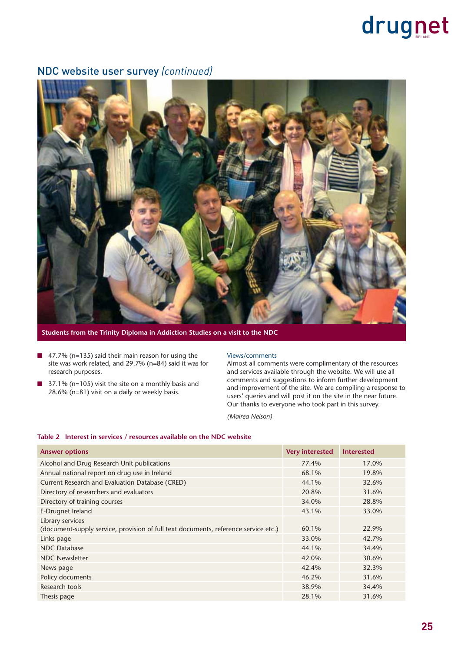#### NDC website user survey *(continued)*



**Students from the Trinity Diploma in Addiction Studies on a visit to the NDC**

- 47.7% (n=135) said their main reason for using the site was work related, and 29.7% (n=84) said it was for research purposes.
- 37.1% (n=105) visit the site on a monthly basis and 28.6% (n=81) visit on a daily or weekly basis.

#### Views/comments

Almost all comments were complimentary of the resources and services available through the website. We will use all comments and suggestions to inform further development and improvement of the site. We are compiling a response to users' queries and will post it on the site in the near future. Our thanks to everyone who took part in this survey.

*(Mairea Nelson)*

#### **Table 2 Interest in services / resources available on the NDC website**

| <b>Answer options</b>                                                               | <b>Very interested</b> | <b>Interested</b> |
|-------------------------------------------------------------------------------------|------------------------|-------------------|
| Alcohol and Drug Research Unit publications                                         | 77.4%                  | 17.0%             |
| Annual national report on drug use in Ireland                                       | 68.1%                  | 19.8%             |
| Current Research and Evaluation Database (CRED)                                     | 44.1%                  | 32.6%             |
| Directory of researchers and evaluators                                             | 20.8%                  | 31.6%             |
| Directory of training courses                                                       | 34.0%                  | 28.8%             |
| E-Drugnet Ireland                                                                   | 43.1%                  | 33.0%             |
| Library services                                                                    |                        |                   |
| (document-supply service, provision of full text documents, reference service etc.) | 60.1%                  | 22.9%             |
| Links page                                                                          | 33.0%                  | 42.7%             |
| <b>NDC</b> Database                                                                 | 44.1%                  | 34.4%             |
| <b>NDC Newsletter</b>                                                               | 42.0%                  | 30.6%             |
| News page                                                                           | 42.4%                  | 32.3%             |
| Policy documents                                                                    | 46.2%                  | 31.6%             |
| Research tools                                                                      | 38.9%                  | 34.4%             |
| Thesis page                                                                         | 28.1%                  | 31.6%             |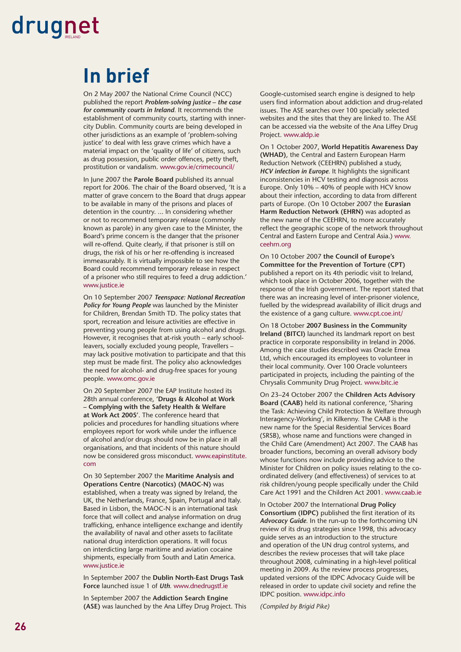### **In brief**

On 2 May 2007 the National Crime Council (NCC) published the report *Problem-solving justice – the case for community courts in Ireland.* It recommends the establishment of community courts, starting with innercity Dublin. Community courts are being developed in other jurisdictions as an example of 'problem-solving justice' to deal with less grave crimes which have a material impact on the 'quality of life' of citizens, such as drug possession, public order offences, petty theft, prostitution or vandalism. www.gov.ie/crimecouncil/

In June 2007 the **Parole Board** published its annual report for 2006. The chair of the Board observed, 'It is a matter of grave concern to the Board that drugs appear to be available in many of the prisons and places of detention in the country. ... In considering whether or not to recommend temporary release (commonly known as parole) in any given case to the Minister, the Board's prime concern is the danger that the prisoner will re-offend. Quite clearly, if that prisoner is still on drugs, the risk of his or her re-offending is increased immeasurably. It is virtually impossible to see how the Board could recommend temporary release in respect of a prisoner who still requires to feed a drug addiction.' www.justice.ie

On 10 September 2007 *Teenspace: National Recreation Policy for Young People* was launched by the Minister for Children, Brendan Smith TD. The policy states that sport, recreation and leisure activities are effective in preventing young people from using alcohol and drugs. However, it recognises that at-risk youth – early schoolleavers, socially excluded young people, Travellers – may lack positive motivation to participate and that this step must be made first. The policy also acknowledges the need for alcohol- and drug-free spaces for young people. www.omc.gov.ie

On 20 September 2007 the EAP Institute hosted its 28th annual conference, **'Drugs & Alcohol at Work – Complying with the Safety Health & Welfare at Work Act 2005'**. The conference heard that policies and procedures for handling situations where employees report for work while under the influence of alcohol and/or drugs should now be in place in all organisations, and that incidents of this nature should now be considered gross misconduct. www.eapinstitute. com

On 30 September 2007 the **Maritime Analysis and Operations Centre (Narcotics) (MAOC-N)** was established, when a treaty was signed by Ireland, the UK, the Netherlands, France, Spain, Portugal and Italy. Based in Lisbon, the MAOC-N is an international task force that will collect and analyse information on drug trafficking, enhance intelligence exchange and identify the availability of naval and other assets to facilitate national drug interdiction operations. It will focus on interdicting large maritime and aviation cocaine shipments, especially from South and Latin America. www.justice.ie

In September 2007 the **Dublin North-East Drugs Task Force** launched issue 1 of *Uth.* www.dnedrugstf.ie

In September 2007 the **Addiction Search Engine (ASE)** was launched by the Ana Liffey Drug Project. This Google-customised search engine is designed to help users find information about addiction and drug-related issues. The ASE searches over 100 specially selected websites and the sites that they are linked to. The ASE can be accessed via the website of the Ana Liffey Drug Project. www.aldp.ie

On 1 October 2007, **World Hepatitis Awareness Day (WHAD)**, the Central and Eastern European Harm Reduction Network (CEEHRN) published a study, *HCV infection in Europe*. It highlights the significant inconsistencies in HCV testing and diagnosis across Europe. Only 10% – 40% of people with HCV know about their infection, according to data from different parts of Europe. (On 10 October 2007 the **Eurasian Harm Reduction Network (EHRN)** was adopted as the new name of the CEEHRN, to more accurately reflect the geographic scope of the network throughout Central and Eastern Europe and Central Asia.) www. ceehrn.org

On 10 October 2007 **the Council of Europe's Committee for the Prevention of Torture (CPT)** published a report on its 4th periodic visit to Ireland, which took place in October 2006, together with the response of the Irish government. The report stated that there was an increasing level of inter-prisoner violence, fuelled by the widespread availability of illicit drugs and the existence of a gang culture. www.cpt.coe.int/

On 18 October **2007 Business in the Community Ireland (BITCI)** launched its landmark report on best practice in corporate responsibility in Ireland in 2006. Among the case studies described was Oracle Emea Ltd, which encouraged its employees to volunteer in their local community. Over 100 Oracle volunteers participated in projects, including the painting of the Chrysalis Community Drug Project. www.bitc.ie

On 23–24 October 2007 the **Children Acts Advisory Board (CAAB)** held its national conference, 'Sharing the Task: Achieving Child Protection & Welfare through Interagency-Working', in Kilkenny. The CAAB is the new name for the Special Residential Services Board (SRSB), whose name and functions were changed in the Child Care (Amendment) Act 2007. The CAAB has broader functions, becoming an overall advisory body whose functions now include providing advice to the Minister for Children on policy issues relating to the coordinated delivery (and effectiveness) of services to at risk children/young people specifically under the Child Care Act 1991 and the Children Act 2001. www.caab.ie

In October 2007 the International **Drug Policy Consortium (IDPC)** published the first iteration of its *Advocacy Guide*. In the run-up to the forthcoming UN review of its drug strategies since 1998, this advocacy guide serves as an introduction to the structure and operation of the UN drug control systems, and describes the review processes that will take place throughout 2008, culminating in a high-level political meeting in 2009. As the review process progresses, updated versions of the IDPC Advocacy Guide will be released in order to update civil society and refine the IDPC position. www.idpc.info

*(Compiled by Brigid Pike)*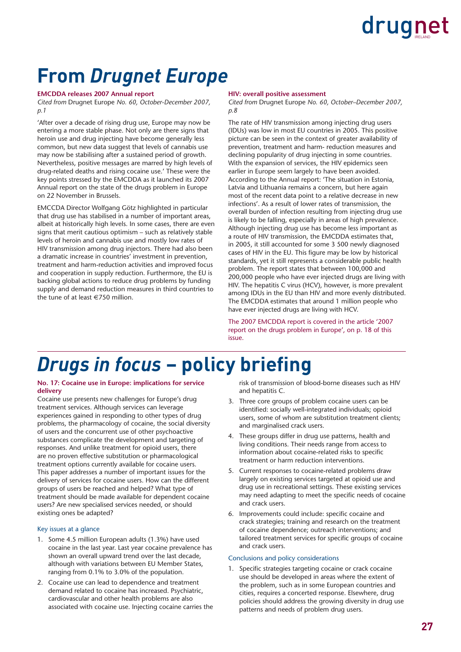### **From** *Drugnet Europe*

#### **EMCDDA releases 2007 Annual report**

*Cited from* Drugnet Europe *No. 60, October-December 2007, p.1* 

'After over a decade of rising drug use, Europe may now be entering a more stable phase. Not only are there signs that heroin use and drug injecting have become generally less common, but new data suggest that levels of cannabis use may now be stabilising after a sustained period of growth. Nevertheless, positive messages are marred by high levels of drug-related deaths and rising cocaine use.' These were the key points stressed by the EMCDDA as it launched its 2007 Annual report on the state of the drugs problem in Europe on 22 November in Brussels.

EMCCDA Director Wolfgang Götz highlighted in particular that drug use has stabilised in a number of important areas, albeit at historically high levels. In some cases, there are even signs that merit cautious optimism – such as relatively stable levels of heroin and cannabis use and mostly low rates of HIV transmission among drug injectors. There had also been a dramatic increase in countries' investment in prevention, treatment and harm-reduction activities and improved focus and cooperation in supply reduction. Furthermore, the EU is backing global actions to reduce drug problems by funding supply and demand reduction measures in third countries to the tune of at least  $\in 750$  million.

#### **HIV: overall positive assessment**

*Cited from* Drugnet Europe *No. 60, October–December 2007, p.8*

The rate of HIV transmission among injecting drug users (IDUs) was low in most EU countries in 2005. This positive picture can be seen in the context of greater availability of prevention, treatment and harm- reduction measures and declining popularity of drug injecting in some countries. With the expansion of services, the HIV epidemics seen earlier in Europe seem largely to have been avoided. According to the Annual report: 'The situation in Estonia, Latvia and Lithuania remains a concern, but here again most of the recent data point to a relative decrease in new infections'. As a result of lower rates of transmission, the overall burden of infection resulting from injecting drug use is likely to be falling, especially in areas of high prevalence. Although injecting drug use has become less important as a route of HIV transmission, the EMCDDA estimates that, in 2005, it still accounted for some 3 500 newly diagnosed cases of HIV in the EU. This figure may be low by historical standards, yet it still represents a considerable public health problem. The report states that between 100,000 and 200,000 people who have ever injected drugs are living with HIV. The hepatitis C virus (HCV), however, is more prevalent among IDUs in the EU than HIV and more evenly distributed. The EMCDDA estimates that around 1 million people who have ever injected drugs are living with HCV.

The 2007 EMCDDA report is covered in the article '2007 report on the drugs problem in Europe', on p. 18 of this issue.

### *Drugs in focus* – policy briefing

#### **No. 17: Cocaine use in Europe: implications for service delivery**

Cocaine use presents new challenges for Europe's drug treatment services. Although services can leverage experiences gained in responding to other types of drug problems, the pharmacology of cocaine, the social diversity of users and the concurrent use of other psychoactive substances complicate the development and targeting of responses. And unlike treatment for opioid users, there are no proven effective substitution or pharmacological treatment options currently available for cocaine users. This paper addresses a number of important issues for the delivery of services for cocaine users. How can the different groups of users be reached and helped? What type of treatment should be made available for dependent cocaine users? Are new specialised services needed, or should existing ones be adapted?

#### Key issues at a glance

- 1. Some 4.5 million European adults (1.3%) have used cocaine in the last year. Last year cocaine prevalence has shown an overall upward trend over the last decade, although with variations between EU Member States, ranging from 0.1% to 3.0% of the population.
- 2. Cocaine use can lead to dependence and treatment demand related to cocaine has increased. Psychiatric, cardiovascular and other health problems are also associated with cocaine use. Injecting cocaine carries the

risk of transmission of blood-borne diseases such as HIV and hepatitis C.

- 3. Three core groups of problem cocaine users can be identified: socially well-integrated individuals; opioid users, some of whom are substitution treatment clients; and marginalised crack users.
- 4. These groups differ in drug use patterns, health and living conditions. Their needs range from access to information about cocaine-related risks to specific treatment or harm reduction interventions.
- 5. Current responses to cocaine-related problems draw largely on existing services targeted at opioid use and drug use in recreational settings. These existing services may need adapting to meet the specific needs of cocaine and crack users.
- 6. Improvements could include: specific cocaine and crack strategies; training and research on the treatment of cocaine dependence; outreach interventions; and tailored treatment services for specific groups of cocaine and crack users.

#### Conclusions and policy considerations

1. Specific strategies targeting cocaine or crack cocaine use should be developed in areas where the extent of the problem, such as in some European countries and cities, requires a concerted response. Elsewhere, drug policies should address the growing diversity in drug use patterns and needs of problem drug users.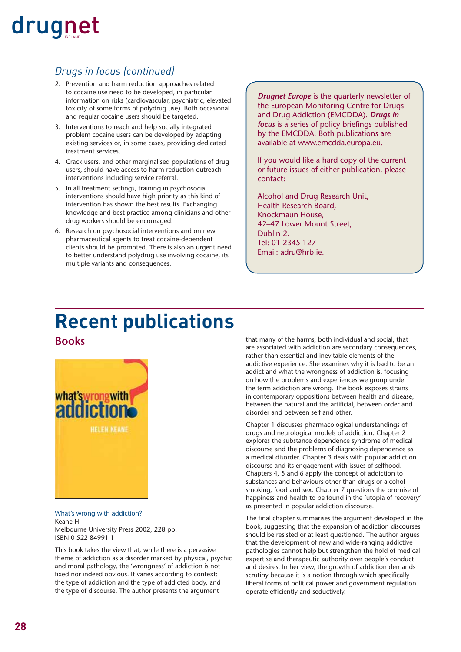#### *Drugs in focus (continued)*

- 2. Prevention and harm reduction approaches related to cocaine use need to be developed, in particular information on risks (cardiovascular, psychiatric, elevated toxicity of some forms of polydrug use). Both occasional and regular cocaine users should be targeted.
- 3. Interventions to reach and help socially integrated problem cocaine users can be developed by adapting existing services or, in some cases, providing dedicated treatment services.
- 4. Crack users, and other marginalised populations of drug users, should have access to harm reduction outreach interventions including service referral.
- 5. In all treatment settings, training in psychosocial interventions should have high priority as this kind of intervention has shown the best results. Exchanging knowledge and best practice among clinicians and other drug workers should be encouraged.
- 6. Research on psychosocial interventions and on new pharmaceutical agents to treat cocaine-dependent clients should be promoted. There is also an urgent need to better understand polydrug use involving cocaine, its multiple variants and consequences.

*Drugnet Europe* is the quarterly newsletter of the European Monitoring Centre for Drugs and Drug Addiction (EMCDDA). *Drugs in focus* is a series of policy briefings published by the EMCDDA. Both publications are available at www.emcdda.europa.eu.

If you would like a hard copy of the current or future issues of either publication, please contact:

Alcohol and Drug Research Unit, Health Research Board, Knockmaun House, 42–47 Lower Mount Street, Dublin 2. Tel: 01 2345 127 Email: adru@hrb.ie.

### **Recent publications**

#### **Books**



What's wrong with addiction? Keane H Melbourne University Press 2002, 228 pp. ISBN 0 522 84991 1

This book takes the view that, while there is a pervasive theme of addiction as a disorder marked by physical, psychic and moral pathology, the 'wrongness' of addiction is not fixed nor indeed obvious. It varies according to context: the type of addiction and the type of addicted body, and the type of discourse. The author presents the argument

that many of the harms, both individual and social, that are associated with addiction are secondary consequences, rather than essential and inevitable elements of the addictive experience. She examines why it is bad to be an addict and what the wrongness of addiction is, focusing on how the problems and experiences we group under the term addiction are wrong. The book exposes strains in contemporary oppositions between health and disease, between the natural and the artificial, between order and disorder and between self and other.

Chapter 1 discusses pharmacological understandings of drugs and neurological models of addiction. Chapter 2 explores the substance dependence syndrome of medical discourse and the problems of diagnosing dependence as a medical disorder. Chapter 3 deals with popular addiction discourse and its engagement with issues of selfhood. Chapters 4, 5 and 6 apply the concept of addiction to substances and behaviours other than drugs or alcohol – smoking, food and sex. Chapter 7 questions the promise of happiness and health to be found in the 'utopia of recovery' as presented in popular addiction discourse.

The final chapter summarises the argument developed in the book, suggesting that the expansion of addiction discourses should be resisted or at least questioned. The author argues that the development of new and wide-ranging addictive pathologies cannot help but strengthen the hold of medical expertise and therapeutic authority over people's conduct and desires. In her view, the growth of addiction demands scrutiny because it is a notion through which specifically liberal forms of political power and government regulation operate efficiently and seductively.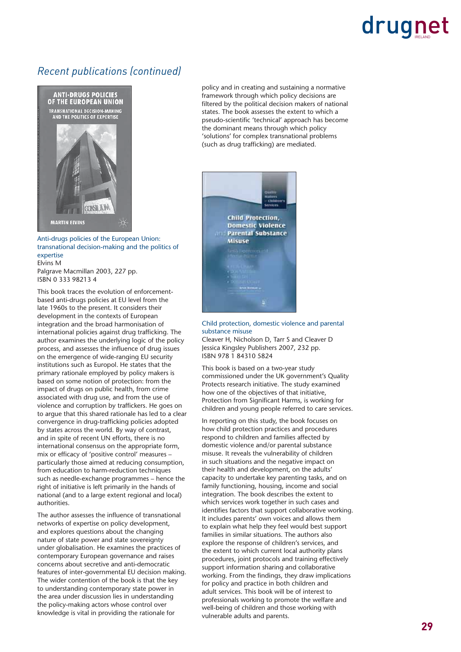#### *Recent publications (continued)*



Anti-drugs policies of the European Union: transnational decision-making and the politics of expertise Elvins M Palgrave Macmillan 2003, 227 pp. ISBN 0 333 98213 4

This book traces the evolution of enforcementbased anti-drugs policies at EU level from the late 1960s to the present. It considers their development in the contexts of European integration and the broad harmonisation of international policies against drug trafficking. The author examines the underlying logic of the policy process, and assesses the influence of drug issues on the emergence of wide-ranging EU security institutions such as Europol. He states that the primary rationale employed by policy makers is based on some notion of protection: from the impact of drugs on public health, from crime associated with drug use, and from the use of violence and corruption by traffickers. He goes on to argue that this shared rationale has led to a clear convergence in drug-trafficking policies adopted by states across the world. By way of contrast, and in spite of recent UN efforts, there is no international consensus on the appropriate form, mix or efficacy of 'positive control' measures particularly those aimed at reducing consumption, from education to harm-reduction techniques such as needle-exchange programmes – hence the right of initiative is left primarily in the hands of national (and to a large extent regional and local) authorities.

The author assesses the influence of transnational networks of expertise on policy development, and explores questions about the changing nature of state power and state sovereignty under globalisation. He examines the practices of contemporary European governance and raises concerns about secretive and anti-democratic features of inter-governmental EU decision making. The wider contention of the book is that the key to understanding contemporary state power in the area under discussion lies in understanding the policy-making actors whose control over knowledge is vital in providing the rationale for

policy and in creating and sustaining a normative framework through which policy decisions are filtered by the political decision makers of national states. The book assesses the extent to which a pseudo-scientific 'technical' approach has become the dominant means through which policy 'solutions' for complex transnational problems (such as drug trafficking) are mediated.



Child protection, domestic violence and parental substance misuse

Cleaver H, Nicholson D, Tarr S and Cleaver D Jessica Kingsley Publishers 2007, 232 pp. ISBN 978 1 84310 5824

This book is based on a two-year study commissioned under the UK government's Quality Protects research initiative. The study examined how one of the objectives of that initiative, Protection from Significant Harms, is working for children and young people referred to care services.

In reporting on this study, the book focuses on how child protection practices and procedures respond to children and families affected by domestic violence and/or parental substance misuse. It reveals the vulnerability of children in such situations and the negative impact on their health and development, on the adults' capacity to undertake key parenting tasks, and on family functioning, housing, income and social integration. The book describes the extent to which services work together in such cases and identifies factors that support collaborative working. It includes parents' own voices and allows them to explain what help they feel would best support families in similar situations. The authors also explore the response of children's services, and the extent to which current local authority plans procedures, joint protocols and training effectively support information sharing and collaborative working. From the findings, they draw implications for policy and practice in both children and adult services. This book will be of interest to professionals working to promote the welfare and well-being of children and those working with vulnerable adults and parents.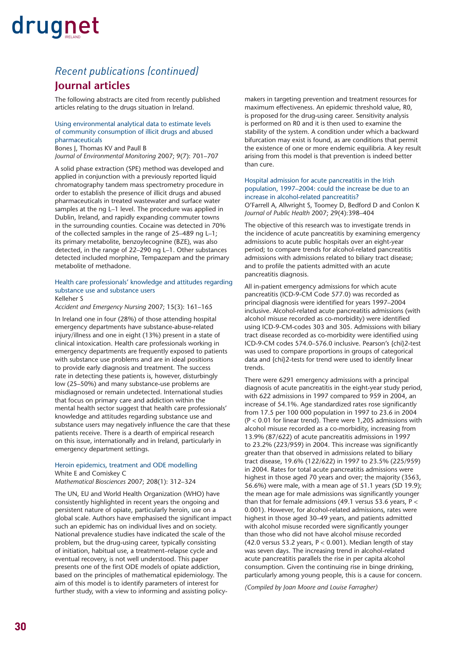#### **Journal articles** *Recent publications (continued)*

The following abstracts are cited from recently published articles relating to the drugs situation in Ireland.

#### Using environmental analytical data to estimate levels of community consumption of illicit drugs and abused pharmaceuticals

Bones J, Thomas KV and Paull B *Journal of Environmental Monitoring* 2007; 9(7): 701–707

A solid phase extraction (SPE) method was developed and applied in conjunction with a previously reported liquid chromatography tandem mass spectrometry procedure in order to establish the presence of illicit drugs and abused pharmaceuticals in treated wastewater and surface water samples at the ng L–1 level. The procedure was applied in Dublin, Ireland, and rapidly expanding commuter towns in the surrounding counties. Cocaine was detected in 70% of the collected samples in the range of 25–489 ng L–1; its primary metabolite, benzoylecognine (BZE), was also detected, in the range of 22–290 ng L–1. Other substances detected included morphine, Tempazepam and the primary metabolite of methadone.

#### Health care professionals' knowledge and attitudes regarding substance use and substance users Kelleher S

*Accident and Emergency Nursing* 2007; 15(3): 161–165

In Ireland one in four (28%) of those attending hospital emergency departments have substance-abuse-related injury/illness and one in eight (13%) present in a state of clinical intoxication. Health care professionals working in emergency departments are frequently exposed to patients with substance use problems and are in ideal positions to provide early diagnosis and treatment. The success rate in detecting these patients is, however, disturbingly low (25–50%) and many substance-use problems are misdiagnosed or remain undetected. International studies that focus on primary care and addiction within the mental health sector suggest that health care professionals' knowledge and attitudes regarding substance use and substance users may negatively influence the care that these patients receive. There is a dearth of empirical research on this issue, internationally and in Ireland, particularly in emergency department settings.

#### Heroin epidemics, treatment and ODE modelling White E and Comiskey C

*Mathematical Biosciences* 2007; 208(1): 312–324

The UN, EU and World Health Organization (WHO) have consistently highlighted in recent years the ongoing and persistent nature of opiate, particularly heroin, use on a global scale. Authors have emphasised the significant impact such an epidemic has on individual lives and on society. National prevalence studies have indicated the scale of the problem, but the drug-using career, typically consisting of initiation, habitual use, a treatment–relapse cycle and eventual recovery, is not well understood. This paper presents one of the first ODE models of opiate addiction, based on the principles of mathematical epidemiology. The aim of this model is to identify parameters of interest for further study, with a view to informing and assisting policymakers in targeting prevention and treatment resources for maximum effectiveness. An epidemic threshold value, R0, is proposed for the drug-using career. Sensitivity analysis is performed on R0 and it is then used to examine the stability of the system. A condition under which a backward bifurcation may exist is found, as are conditions that permit the existence of one or more endemic equilibria. A key result arising from this model is that prevention is indeed better than cure.

#### Hospital admission for acute pancreatitis in the Irish population, 1997–2004: could the increase be due to an increase in alcohol-related pancreatitis? O'Farrell A, Allwright S, Toomey D, Bedford D and Conlon K

*Journal of Public Health* 2007; 29(4):398–404

The objective of this research was to investigate trends in the incidence of acute pancreatitis by examining emergency admissions to acute public hospitals over an eight-year period; to compare trends for alcohol-related pancreatitis admissions with admissions related to biliary tract disease; and to profile the patients admitted with an acute pancreatitis diagnosis.

All in-patient emergency admissions for which acute pancreatitis (ICD-9-CM Code 577.0) was recorded as principal diagnosis were identified for years 1997–2004 inclusive. Alcohol-related acute pancreatitis admissions (with alcohol misuse recorded as co-morbidity) were identified using ICD-9-CM-codes 303 and 305. Admissions with biliary tract disease recorded as co-morbidity were identified using ICD-9-CM codes 574.0–576.0 inclusive. Pearson's {chi}2-test was used to compare proportions in groups of categorical data and {chi}2-tests for trend were used to identify linear trends.

There were 6291 emergency admissions with a principal diagnosis of acute pancreatitis in the eight-year study period, with 622 admissions in 1997 compared to 959 in 2004, an increase of 54.1%. Age standardized rates rose significantly from 17.5 per 100 000 population in 1997 to 23.6 in 2004 (P < 0.01 for linear trend). There were 1,205 admissions with alcohol misuse recorded as a co-morbidity, increasing from 13.9% (87/622) of acute pancreatitis admissions in 1997 to 23.2% (223/959) in 2004. This increase was significantly greater than that observed in admissions related to biliary tract disease, 19.6% (122/622) in 1997 to 23.5% (225/959) in 2004. Rates for total acute pancreatitis admissions were highest in those aged 70 years and over; the majority (3563, 56.6%) were male, with a mean age of 51.1 years (SD 19.9); the mean age for male admissions was significantly younger than that for female admissions (49.1 versus 53.6 years,  $P <$ 0.001). However, for alcohol-related admissions, rates were highest in those aged 30–49 years, and patients admitted with alcohol misuse recorded were significantly younger than those who did not have alcohol misuse recorded (42.0 versus 53.2 years,  $P < 0.001$ ). Median length of stay was seven days. The increasing trend in alcohol-related acute pancreatitis parallels the rise in per capita alcohol consumption. Given the continuing rise in binge drinking, particularly among young people, this is a cause for concern.

*(Compiled by Joan Moore and Louise Farragher)*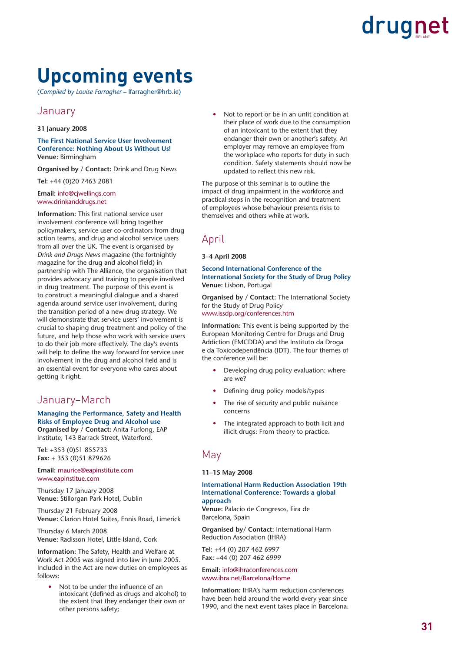### **Upcoming events**

(*Compiled by Louise Farragher* – lfarragher@hrb.ie)

#### January

#### **31 January 2008**

**The First National Service User Involvement Conference: Nothing About Us Without Us! Venue:** Birmingham

**Organised by / Contact:** Drink and Drug News

**Tel:** +44 (0)20 7463 2081

#### **Email:** info@cjwellings.com www.drinkanddrugs.net

**Information:** This first national service user involvement conference will bring together policymakers, service user co-ordinators from drug action teams, and drug and alcohol service users from all over the UK. The event is organised by *Drink and Drugs News* magazine (the fortnightly magazine for the drug and alcohol field) in partnership with The Alliance, the organisation that provides advocacy and training to people involved in drug treatment. The purpose of this event is to construct a meaningful dialogue and a shared agenda around service user involvement, during the transition period of a new drug strategy. We will demonstrate that service users' involvement is crucial to shaping drug treatment and policy of the future, and help those who work with service users to do their job more effectively. The day's events will help to define the way forward for service user involvement in the drug and alcohol field and is an essential event for everyone who cares about getting it right.

#### January–March

**Managing the Performance, Safety and Health Risks of Employee Drug and Alcohol use Organised by / Contact:** Anita Furlong, EAP Institute, 143 Barrack Street, Waterford.

**Tel:** +353 (0)51 855733 **Fax:** + 353 (0)51 879626

**Email:** maurice@eapinstitute.com www.eapinstitue.com

Thursday 17 January 2008 **Venue:** Stillorgan Park Hotel, Dublin

Thursday 21 February 2008 **Venue:** Clarion Hotel Suites, Ennis Road, Limerick

Thursday 6 March 2008 **Venue:** Radisson Hotel, Little Island, Cork

**Information:** The Safety, Health and Welfare at Work Act 2005 was signed into law in June 2005. Included in the Act are new duties on employees as follows:

Not to be under the influence of an intoxicant (defined as drugs and alcohol) to the extent that they endanger their own or other persons safety;

Not to report or be in an unfit condition at their place of work due to the consumption of an intoxicant to the extent that they endanger their own or another's safety. An employer may remove an employee from the workplace who reports for duty in such condition. Safety statements should now be updated to reflect this new risk.

The purpose of this seminar is to outline the impact of drug impairment in the workforce and practical steps in the recognition and treatment of employees whose behaviour presents risks to themselves and others while at work.

#### April

#### **3–4 April 2008**

#### **Second International Conference of the International Society for the Study of Drug Policy Venue:** Lisbon, Portugal

**Organised by / Contact:** The International Society for the Study of Drug Policy www.issdp.org/conferences.htm

**Information:** This event is being supported by the European Monitoring Centre for Drugs and Drug Addiction (EMCDDA) and the Instituto da Droga e da Toxicodependência (IDT). The four themes of the conference will be:

- Developing drug policy evaluation: where are we?
- Defining drug policy models/types
- The rise of security and public nuisance concerns
- The integrated approach to both licit and illicit drugs: From theory to practice.

#### May

#### **11–15 May 2008**

#### **International Harm Reduction Association 19th International Conference: Towards a global approach**

**Venue:** Palacio de Congresos, Fira de Barcelona, Spain

**Organised by/ Contact:** International Harm Reduction Association (IHRA)

**Tel:** +44 (0) 207 462 6997 **Fax:** +44 (0) 207 462 6999

**Email:** info@ihraconferences.com www.ihra.net/Barcelona/Home

**Information:** IHRA's harm reduction conferences have been held around the world every year since 1990, and the next event takes place in Barcelona.